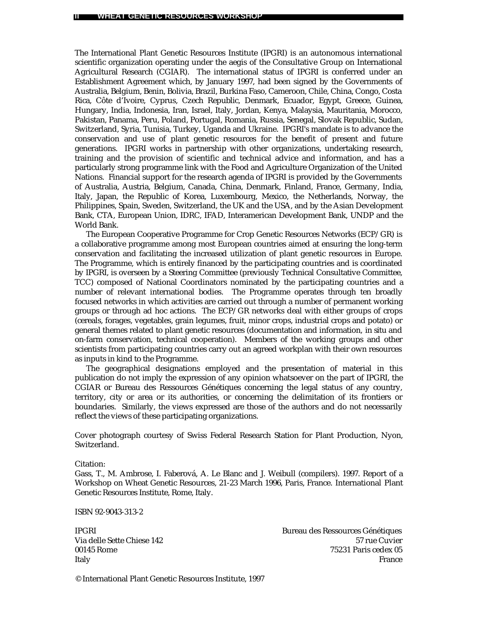The International Plant Genetic Resources Institute (IPGRI) is an autonomous international scientific organization operating under the aegis of the Consultative Group on International Agricultural Research (CGIAR). The international status of IPGRI is conferred under an Establishment Agreement which, by January 1997, had been signed by the Governments of Australia, Belgium, Benin, Bolivia, Brazil, Burkina Faso, Cameroon, Chile, China, Congo, Costa Rica, Côte d'Ivoire, Cyprus, Czech Republic, Denmark, Ecuador, Egypt, Greece, Guinea, Hungary, India, Indonesia, Iran, Israel, Italy, Jordan, Kenya, Malaysia, Mauritania, Morocco, Pakistan, Panama, Peru, Poland, Portugal, Romania, Russia, Senegal, Slovak Republic, Sudan, Switzerland, Syria, Tunisia, Turkey, Uganda and Ukraine. IPGRI's mandate is to advance the conservation and use of plant genetic resources for the benefit of present and future generations. IPGRI works in partnership with other organizations, undertaking research, training and the provision of scientific and technical advice and information, and has a particularly strong programme link with the Food and Agriculture Organization of the United Nations. Financial support for the research agenda of IPGRI is provided by the Governments of Australia, Austria, Belgium, Canada, China, Denmark, Finland, France, Germany, India, Italy, Japan, the Republic of Korea, Luxembourg, Mexico, the Netherlands, Norway, the Philippines, Spain, Sweden, Switzerland, the UK and the USA, and by the Asian Development Bank, CTA, European Union, IDRC, IFAD, Interamerican Development Bank, UNDP and the World Bank.

The European Cooperative Programme for Crop Genetic Resources Networks (ECP/GR) is a collaborative programme among most European countries aimed at ensuring the long-term conservation and facilitating the increased utilization of plant genetic resources in Europe. The Programme, which is entirely financed by the participating countries and is coordinated by IPGRI, is overseen by a Steering Committee (previously Technical Consultative Committee, TCC) composed of National Coordinators nominated by the participating countries and a number of relevant international bodies. The Programme operates through ten broadly focused networks in which activities are carried out through a number of permanent working groups or through ad hoc actions. The ECP/GR networks deal with either groups of crops (cereals, forages, vegetables, grain legumes, fruit, minor crops, industrial crops and potato) or general themes related to plant genetic resources (documentation and information, *in situ* and on-farm conservation, technical cooperation). Members of the working groups and other scientists from participating countries carry out an agreed workplan with their own resources as inputs in kind to the Programme.

The geographical designations employed and the presentation of material in this publication do not imply the expression of any opinion whatsoever on the part of IPGRI, the CGIAR or Bureau des Ressources Génétiques concerning the legal status of any country, territory, city or area or its authorities, or concerning the delimitation of its frontiers or boundaries. Similarly, the views expressed are those of the authors and do not necessarily reflect the views of these participating organizations.

Cover photograph courtesy of Swiss Federal Research Station for Plant Production, Nyon, Switzerland.

Citation:

Gass, T., M. Ambrose, I. Faberová, A. Le Blanc and J. Weibull (compilers). 1997. Report of a Workshop on Wheat Genetic Resources, 21-23 March 1996, Paris, France. International Plant Genetic Resources Institute, Rome, Italy.

ISBN 92-9043-313-2

IPGRI Bureau des Ressources Génétiques Via delle Sette Chiese 142 57 rue Cuvier 00145 Rome 75231 Paris cedex 05 Italy France

© International Plant Genetic Resources Institute, 1997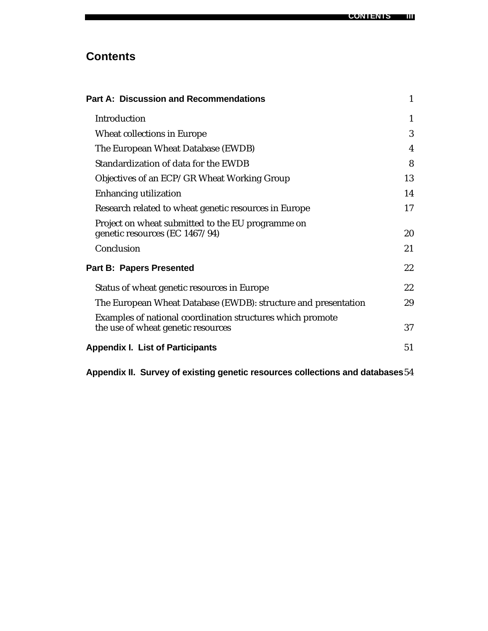# **Contents**

| <b>Part A: Discussion and Recommendations</b>                                                    | 1  |
|--------------------------------------------------------------------------------------------------|----|
| Introduction                                                                                     | 1  |
| Wheat collections in Europe                                                                      | 3  |
| The European Wheat Database (EWDB)                                                               | 4  |
| Standardization of data for the EWDB                                                             | 8  |
| Objectives of an ECP/GR Wheat Working Group                                                      | 13 |
| <b>Enhancing utilization</b>                                                                     | 14 |
| Research related to wheat genetic resources in Europe                                            | 17 |
| Project on wheat submitted to the EU programme on<br>genetic resources (EC 1467/94)              | 20 |
| Conclusion                                                                                       | 21 |
| <b>Part B: Papers Presented</b>                                                                  | 22 |
| Status of wheat genetic resources in Europe                                                      | 22 |
| The European Wheat Database (EWDB): structure and presentation                                   | 29 |
| Examples of national coordination structures which promote<br>the use of wheat genetic resources | 37 |
| <b>Appendix I. List of Participants</b>                                                          | 51 |

**Appendix II. Survey of existing genetic resources collections and databases**54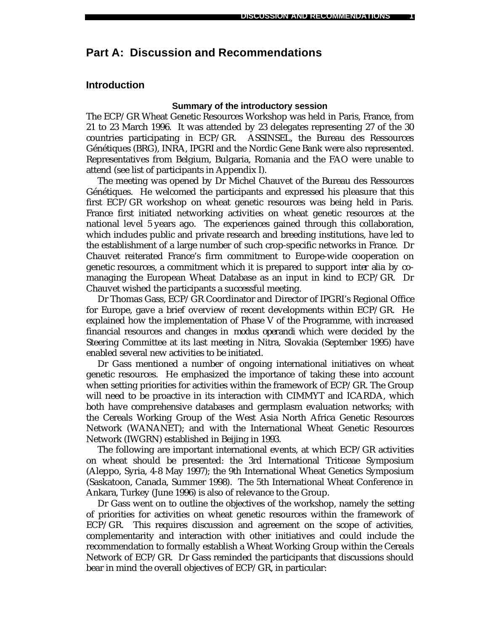## **Part A: Discussion and Recommendations**

### **Introduction**

#### **Summary of the introductory session**

The ECP/GR Wheat Genetic Resources Workshop was held in Paris, France, from 21 to 23 March 1996. It was attended by 23 delegates representing 27 of the 30 countries participating in ECP/GR. ASSINSEL, the Bureau des Ressources Génétiques (BRG), INRA, IPGRI and the Nordic Gene Bank were also represented. Representatives from Belgium, Bulgaria, Romania and the FAO were unable to attend (see list of participants in Appendix I).

The meeting was opened by Dr Michel Chauvet of the Bureau des Ressources Génétiques. He welcomed the participants and expressed his pleasure that this first ECP/GR workshop on wheat genetic resources was being held in Paris. France first initiated networking activities on wheat genetic resources at the national level 5 years ago. The experiences gained through this collaboration, which includes public and private research and breeding institutions, have led to the establishment of a large number of such crop-specific networks in France. Dr Chauvet reiterated France's firm commitment to Europe-wide cooperation on genetic resources, a commitment which it is prepared to support *inter alia* by comanaging the European Wheat Database as an input in kind to ECP/GR. Dr Chauvet wished the participants a successful meeting.

Dr Thomas Gass, ECP/GR Coordinator and Director of IPGRI's Regional Office for Europe, gave a brief overview of recent developments within ECP/GR. He explained how the implementation of Phase V of the Programme, with increased financial resources and changes in *modus operandi* which were decided by the Steering Committee at its last meeting in Nitra, Slovakia (September 1995) have enabled several new activities to be initiated.

Dr Gass mentioned a number of ongoing international initiatives on wheat genetic resources. He emphasized the importance of taking these into account when setting priorities for activities within the framework of ECP/GR. The Group will need to be proactive in its interaction with CIMMYT and ICARDA, which both have comprehensive databases and germplasm evaluation networks; with the Cereals Working Group of the West Asia North Africa Genetic Resources Network (WANANET); and with the International Wheat Genetic Resources Network (IWGRN) established in Beijing in 1993.

The following are important international events, at which ECP/GR activities on wheat should be presented: the 3rd International Triticeae Symposium (Aleppo, Syria, 4-8 May 1997); the 9th International Wheat Genetics Symposium (Saskatoon, Canada, Summer 1998). The 5th International Wheat Conference in Ankara, Turkey (June 1996) is also of relevance to the Group.

Dr Gass went on to outline the objectives of the workshop, namely the setting of priorities for activities on wheat genetic resources within the framework of ECP/GR. This requires discussion and agreement on the scope of activities, complementarity and interaction with other initiatives and could include the recommendation to formally establish a Wheat Working Group within the Cereals Network of ECP/GR. Dr Gass reminded the participants that discussions should bear in mind the overall objectives of ECP/GR, in particular: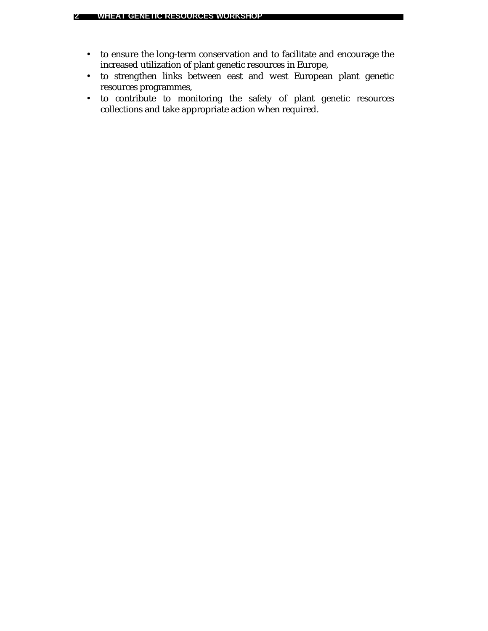- to ensure the long-term conservation and to facilitate and encourage the increased utilization of plant genetic resources in Europe,
- to strengthen links between east and west European plant genetic resources programmes,
- to contribute to monitoring the safety of plant genetic resources collections and take appropriate action when required.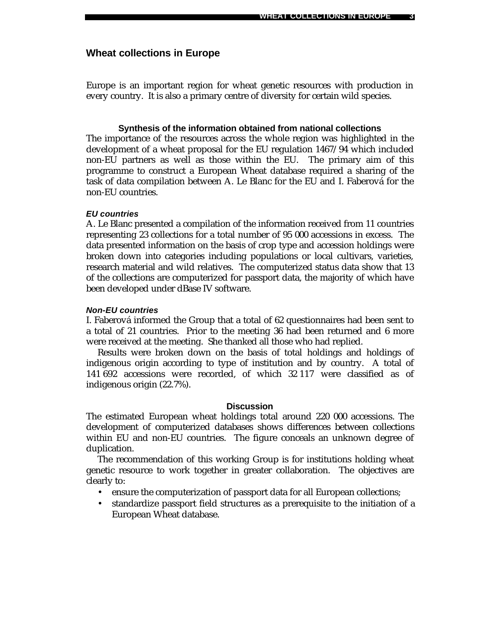### **Wheat collections in Europe**

Europe is an important region for wheat genetic resources with production in every country. It is also a primary centre of diversity for certain wild species.

### **Synthesis of the information obtained from national collections**

The importance of the resources across the whole region was highlighted in the development of a wheat proposal for the EU regulation 1467/94 which included non-EU partners as well as those within the EU. The primary aim of this programme to construct a European Wheat database required a sharing of the task of data compilation between A. Le Blanc for the EU and I. Faberová for the non-EU countries.

#### *EU countries*

A. Le Blanc presented a compilation of the information received from 11 countries representing 23 collections for a total number of 95 000 accessions in excess. The data presented information on the basis of crop type and accession holdings were broken down into categories including populations or local cultivars, varieties, research material and wild relatives. The computerized status data show that 13 of the collections are computerized for passport data, the majority of which have been developed under dBase IV software.

#### *Non-EU countries*

I. Faberová informed the Group that a total of 62 questionnaires had been sent to a total of 21 countries. Prior to the meeting 36 had been returned and 6 more were received at the meeting. She thanked all those who had replied.

Results were broken down on the basis of total holdings and holdings of indigenous origin according to type of institution and by country. A total of 141 692 accessions were recorded, of which 32 117 were classified as of indigenous origin (22.7%).

#### **Discussion**

The estimated European wheat holdings total around 220 000 accessions. The development of computerized databases shows differences between collections within EU and non-EU countries. The figure conceals an unknown degree of duplication.

The recommendation of this working Group is for institutions holding wheat genetic resource to work together in greater collaboration. The objectives are clearly to:

- ensure the computerization of passport data for all European collections;
- standardize passport field structures as a prerequisite to the initiation of a European Wheat database.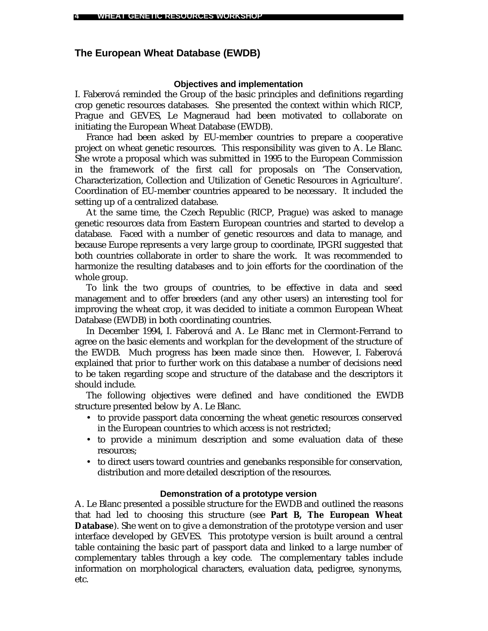### **The European Wheat Database (EWDB)**

#### **Objectives and implementation**

I. Faberová reminded the Group of the basic principles and definitions regarding crop genetic resources databases. She presented the context within which RICP, Prague and GEVES, Le Magneraud had been motivated to collaborate on initiating the European Wheat Database (EWDB).

France had been asked by EU-member countries to prepare a cooperative project on wheat genetic resources. This responsibility was given to A. Le Blanc. She wrote a proposal which was submitted in 1995 to the European Commission in the framework of the first call for proposals on 'The Conservation, Characterization, Collection and Utilization of Genetic Resources in Agriculture'. Coordination of EU-member countries appeared to be necessary. It included the setting up of a centralized database.

At the same time, the Czech Republic (RICP, Prague) was asked to manage genetic resources data from Eastern European countries and started to develop a database. Faced with a number of genetic resources and data to manage, and because Europe represents a very large group to coordinate, IPGRI suggested that both countries collaborate in order to share the work. It was recommended to harmonize the resulting databases and to join efforts for the coordination of the whole group.

To link the two groups of countries, to be effective in data and seed management and to offer breeders (and any other users) an interesting tool for improving the wheat crop, it was decided to initiate a common European Wheat Database (EWDB) in both coordinating countries.

In December 1994, I. Faberová and A. Le Blanc met in Clermont-Ferrand to agree on the basic elements and workplan for the development of the structure of the EWDB. Much progress has been made since then. However, I. Faberová explained that prior to further work on this database a number of decisions need to be taken regarding scope and structure of the database and the descriptors it should include.

The following objectives were defined and have conditioned the EWDB structure presented below by A. Le Blanc.

- to provide passport data concerning the wheat genetic resources conserved in the European countries to which access is not restricted;
- to provide a minimum description and some evaluation data of these resources;
- to direct users toward countries and genebanks responsible for conservation, distribution and more detailed description of the resources.

#### **Demonstration of a prototype version**

A. Le Blanc presented a possible structure for the EWDB and outlined the reasons that had led to choosing this structure (see **Part B, The European Wheat Database**). She went on to give a demonstration of the prototype version and user interface developed by GEVES. This prototype version is built around a central table containing the basic part of passport data and linked to a large number of complementary tables through a key code. The complementary tables include information on morphological characters, evaluation data, pedigree, synonyms, etc.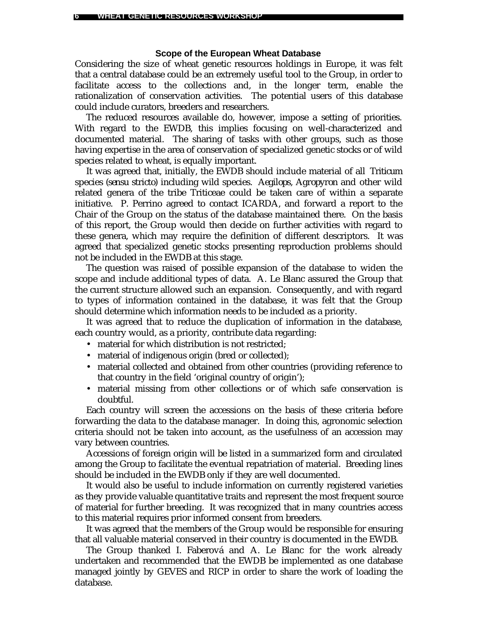### **Scope of the European Wheat Database**

Considering the size of wheat genetic resources holdings in Europe, it was felt that a central database could be an extremely useful tool to the Group, in order to facilitate access to the collections and, in the longer term, enable the rationalization of conservation activities. The potential users of this database could include curators, breeders and researchers.

The reduced resources available do, however, impose a setting of priorities. With regard to the EWDB, this implies focusing on well-characterized and documented material. The sharing of tasks with other groups, such as those having expertise in the area of conservation of specialized genetic stocks or of wild species related to wheat, is equally important.

It was agreed that, initially, the EWDB should include material of all *Triticum* species (*sensu stricto*) including wild species. *Aegilops, Agropyron* and other wild related genera of the tribe Triticeae could be taken care of within a separate initiative. P. Perrino agreed to contact ICARDA, and forward a report to the Chair of the Group on the status of the database maintained there. On the basis of this report, the Group would then decide on further activities with regard to these genera, which may require the definition of different descriptors. It was agreed that specialized genetic stocks presenting reproduction problems should not be included in the EWDB at this stage.

The question was raised of possible expansion of the database to widen the scope and include additional types of data. A. Le Blanc assured the Group that the current structure allowed such an expansion. Consequently, and with regard to types of information contained in the database, it was felt that the Group should determine which information needs to be included as a priority.

It was agreed that to reduce the duplication of information in the database, each country would, as a priority, contribute data regarding:

- material for which distribution is not restricted;
- material of indigenous origin (bred or collected);
- material collected and obtained from other countries (providing reference to that country in the field 'original country of origin');
- material missing from other collections or of which safe conservation is doubtful.

Each country will screen the accessions on the basis of these criteria before forwarding the data to the database manager. In doing this, agronomic selection criteria should not be taken into account, as the usefulness of an accession may vary between countries.

Accessions of foreign origin will be listed in a summarized form and circulated among the Group to facilitate the eventual repatriation of material. Breeding lines should be included in the EWDB only if they are well documented.

It would also be useful to include information on currently registered varieties as they provide valuable quantitative traits and represent the most frequent source of material for further breeding. It was recognized that in many countries access to this material requires prior informed consent from breeders.

It was agreed that the members of the Group would be responsible for ensuring that all valuable material conserved in their country is documented in the EWDB.

The Group thanked I. Faberová and A. Le Blanc for the work already undertaken and recommended that the EWDB be implemented as one database managed jointly by GEVES and RICP in order to share the work of loading the database.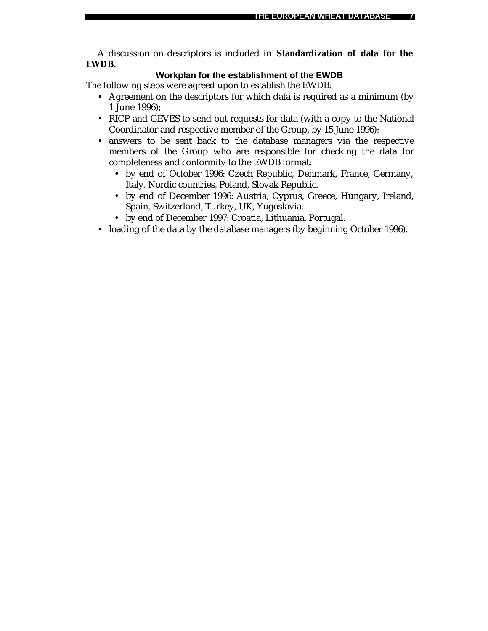A discussion on descriptors is included in **Standardization of data for the EWDB**.

### **Workplan for the establishment of the EWDB**

The following steps were agreed upon to establish the EWDB:

- Agreement on the descriptors for which data is required as a minimum (by 1 June 1996);
- RICP and GEVES to send out requests for data (with a copy to the National Coordinator and respective member of the Group, by 15 June 1996);
- answers to be sent back to the database managers via the respective members of the Group who are responsible for checking the data for completeness and conformity to the EWDB format:
	- by end of October 1996: Czech Republic, Denmark, France, Germany, Italy, Nordic countries, Poland, Slovak Republic.
	- by end of December 1996: Austria, Cyprus, Greece, Hungary, Ireland, Spain, Switzerland, Turkey, UK, Yugoslavia.
	- by end of December 1997: Croatia, Lithuania, Portugal.
- loading of the data by the database managers (by beginning October 1996).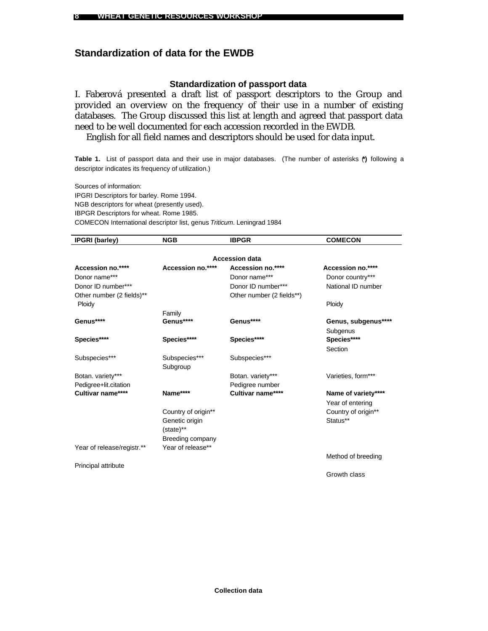### **Standardization of data for the EWDB**

### **Standardization of passport data**

I. Faberová presented a draft list of passport descriptors to the Group and provided an overview on the frequency of their use in a number of existing databases. The Group discussed this list at length and agreed that passport data need to be well documented for each accession recorded in the EWDB.

English for all field names and descriptors should be used for data input.

**Table 1.** List of passport data and their use in major databases. (The number of asterisks (**\*)** following a descriptor indicates its frequency of utilization.)

Sources of information: IPGRI Descriptors for barley. Rome 1994. NGB descriptors for wheat (presently used). IBPGR Descriptors for wheat. Rome 1985. COMECON International descriptor list, genus *Triticum*. Leningrad 1984

| <b>IPGRI</b> (barley)      | <b>NGB</b>          | <b>IBPGR</b>              | <b>COMECON</b>      |
|----------------------------|---------------------|---------------------------|---------------------|
|                            |                     | <b>Accession data</b>     |                     |
| Accession no.****          | Accession no.****   | Accession no.****         | Accession no.****   |
| Donor name***              |                     | Donor name***             | Donor country***    |
| Donor ID number***         |                     | Donor ID number***        | National ID number  |
| Other number (2 fields)**  |                     | Other number (2 fields**) |                     |
| Ploidy                     |                     |                           | Ploidy              |
|                            | Family              |                           |                     |
| Genus****                  | Genus****           | Genus****                 | Genus, subgenus**** |
|                            |                     |                           | Subgenus            |
| Species****                | Species****         | Species****               | Species****         |
|                            |                     |                           | Section             |
| Subspecies***              | Subspecies***       | Subspecies***             |                     |
|                            | Subgroup            |                           |                     |
| Botan. variety***          |                     | Botan. variety***         | Varieties, form***  |
| Pedigree+lit.citation      |                     | Pedigree number           |                     |
| Cultivar name****          | Name****            | Cultivar name****         | Name of variety**** |
|                            |                     |                           | Year of entering    |
|                            | Country of origin** |                           | Country of origin** |
|                            | Genetic origin      |                           | Status**            |
|                            | (state)**           |                           |                     |
|                            | Breeding company    |                           |                     |
| Year of release/registr.** | Year of release**   |                           |                     |
|                            |                     |                           | Method of breeding  |
| Principal attribute        |                     |                           |                     |
|                            |                     |                           | Growth class        |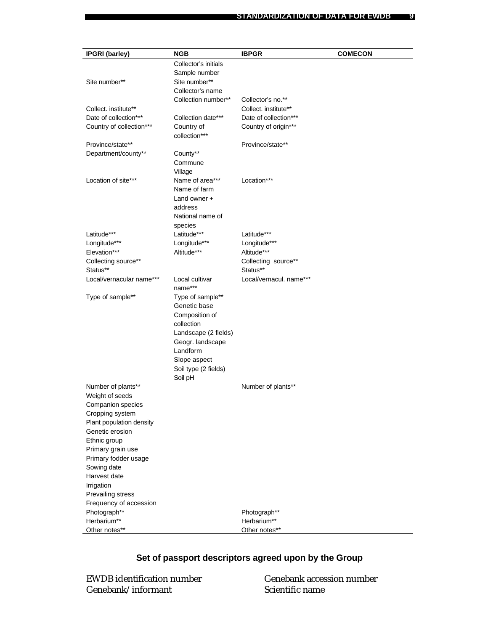| <b>IPGRI</b> (barley)    | <b>NGB</b>                     | <b>IBPGR</b>            | <b>COMECON</b> |
|--------------------------|--------------------------------|-------------------------|----------------|
|                          | Collector's initials           |                         |                |
|                          | Sample number                  |                         |                |
| Site number**            | Site number**                  |                         |                |
|                          | Collector's name               |                         |                |
|                          | Collection number**            | Collector's no.**       |                |
| Collect. institute**     |                                | Collect. institute**    |                |
| Date of collection***    | Collection date***             | Date of collection***   |                |
| Country of collection*** | Country of                     | Country of origin***    |                |
|                          | collection***                  |                         |                |
| Province/state**         |                                | Province/state**        |                |
| Department/county**      | County**                       |                         |                |
|                          | Commune                        |                         |                |
|                          | Village                        |                         |                |
| Location of site***      | Name of area***                | Location***             |                |
|                          | Name of farm                   |                         |                |
|                          | Land owner +                   |                         |                |
|                          | address                        |                         |                |
|                          | National name of               |                         |                |
|                          | species                        |                         |                |
| Latitude***              | Latitude***                    | Latitude***             |                |
| Longitude***             | Longitude***                   | Longitude***            |                |
| Elevation***             | Altitude***                    | Altitude***             |                |
| Collecting source**      |                                | Collecting source**     |                |
| Status**                 |                                | Status**                |                |
| Local/vernacular name*** | Local cultivar                 | Local/vernacul. name*** |                |
|                          | name***                        |                         |                |
| Type of sample**         | Type of sample**               |                         |                |
|                          | Genetic base<br>Composition of |                         |                |
|                          | collection                     |                         |                |
|                          | Landscape (2 fields)           |                         |                |
|                          | Geogr. landscape               |                         |                |
|                          | Landform                       |                         |                |
|                          | Slope aspect                   |                         |                |
|                          | Soil type (2 fields)           |                         |                |
|                          | Soil pH                        |                         |                |
| Number of plants**       |                                | Number of plants**      |                |
| Weight of seeds          |                                |                         |                |
| Companion species        |                                |                         |                |
| Cropping system          |                                |                         |                |
| Plant population density |                                |                         |                |
| Genetic erosion          |                                |                         |                |
| Ethnic group             |                                |                         |                |
| Primary grain use        |                                |                         |                |
| Primary fodder usage     |                                |                         |                |
| Sowing date              |                                |                         |                |
| Harvest date             |                                |                         |                |
| Irrigation               |                                |                         |                |
| Prevailing stress        |                                |                         |                |
| Frequency of accession   |                                |                         |                |
| Photograph**             |                                | Photograph**            |                |
| Herbarium**              |                                | Herbarium**             |                |
| Other notes**            |                                | Other notes**           |                |

## **Set of passport descriptors agreed upon by the Group**

EWDB identification number Genebank/informant

Genebank accession number Scientific name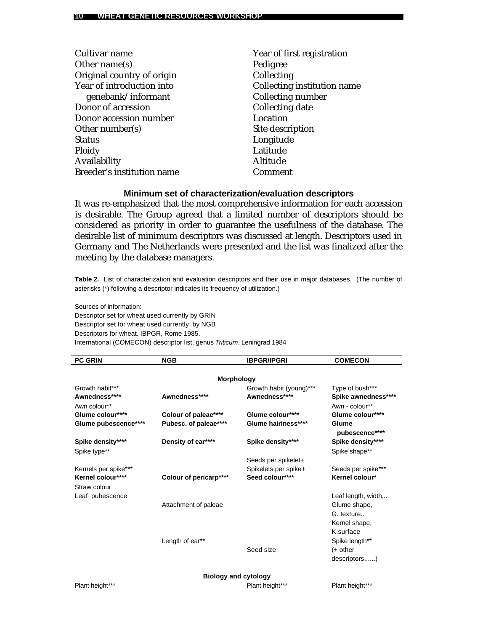| Cultivar name              | Year of first registration  |
|----------------------------|-----------------------------|
| Other name(s)              | Pedigree                    |
| Original country of origin | Collecting                  |
| Year of introduction into  | Collecting institution name |
| genebank/informant         | Collecting number           |
| Donor of accession         | Collecting date             |
| Donor accession number     | Location                    |
| Other number(s)            | Site description            |
| <b>Status</b>              | Longitude                   |
| Ploidy                     | Latitude                    |
| Availability               | Altitude                    |
| Breeder's institution name | Comment                     |
|                            |                             |

### **Minimum set of characterization/evaluation descriptors**

It was re-emphasized that the most comprehensive information for each accession is desirable. The Group agreed that a limited number of descriptors should be considered as priority in order to guarantee the usefulness of the database. The desirable list of minimum descriptors was discussed at length. Descriptors used in Germany and The Netherlands were presented and the list was finalized after the meeting by the database managers.

**Table 2.** List of characterization and evaluation descriptors and their use in major databases. (The number of asterisks (\*) following a descriptor indicates its frequency of utilization.)

Sources of information:

Descriptor set for wheat used currently by GRIN Descriptor set for wheat used currently by NGB Descriptors for wheat. IBPGR, Rome 1985. International (COMECON) descriptor list, genus *Triticum*. Leningrad 1984

| <b>PC GRIN</b>       | <b>NGB</b>             | <b>IBPGR/IPGRI</b>          | <b>COMECON</b>          |
|----------------------|------------------------|-----------------------------|-------------------------|
|                      |                        |                             |                         |
|                      |                        | <b>Morphology</b>           |                         |
| Growth habit***      |                        | Growth habit (young)***     | Type of bush***         |
| Awnedness****        | Awnedness****          | Awnedness****               | Spike awnedness****     |
| Awn colour**         |                        |                             | Awn - colour**          |
| Glume colour****     | Colour of paleae****   | Glume colour****            | Glume colour****        |
| Glume pubescence**** | Pubesc. of paleae****  | Glume hairiness****         | Glume<br>pubescence**** |
| Spike density****    | Density of ear****     | Spike density****           | Spike density****       |
| Spike type**         |                        |                             | Spike shape**           |
|                      |                        | Seeds per spikelet+         |                         |
| Kernels per spike*** |                        | Spikelets per spike+        | Seeds per spike***      |
| Kernel colour****    | Colour of pericarp**** | Seed colour****             | Kernel colour*          |
| Straw colour         |                        |                             |                         |
| Leaf pubescence      |                        |                             | Leaf length, width,     |
|                      | Attachment of paleae   |                             | Glume shape,            |
|                      |                        |                             | G. texture              |
|                      |                        |                             | Kernel shape,           |
|                      |                        |                             | K.surface               |
|                      |                        |                             |                         |
|                      | Length of ear**        |                             | Spike length**          |
|                      |                        | Seed size                   | $(+)$ other             |
|                      |                        |                             | descriptors)            |
|                      |                        | <b>Biology and cytology</b> |                         |

Plant height\*\*\* Plant height\*\*\* Plant height\*\*\* Plant height\*\*\* Plant height\*\*\* Plant height\*\*\*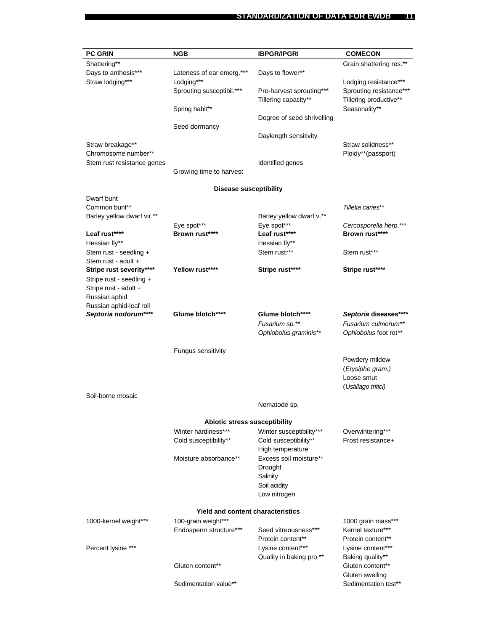| <b>PC GRIN</b>             | <b>NGB</b>                               | <b>IBPGR/IPGRI</b>         | <b>COMECON</b>          |
|----------------------------|------------------------------------------|----------------------------|-------------------------|
| Shattering**               |                                          |                            | Grain shattering res.** |
| Days to anthesis***        | Lateness of ear emerg.***                | Days to flower**           |                         |
| Straw lodging***           | Lodging***                               |                            | Lodging resistance***   |
|                            | Sprouting susceptibil.***                | Pre-harvest sprouting***   | Sprouting resistance*** |
|                            |                                          | Tillering capacity**       | Tillering productive**  |
|                            | Spring habit**                           |                            | Seasonality**           |
|                            |                                          |                            |                         |
|                            |                                          | Degree of seed shrivelling |                         |
|                            | Seed dormancy                            |                            |                         |
|                            |                                          | Daylength sensitivity      |                         |
| Straw breakage**           |                                          |                            | Straw solidness**       |
| Chromosome number**        |                                          |                            | Ploidy**(passport)      |
| Stem rust resistance genes |                                          | Identified genes           |                         |
|                            | Growing time to harvest                  |                            |                         |
|                            | <b>Disease susceptibility</b>            |                            |                         |
| Dwarf bunt                 |                                          |                            |                         |
| Common bunt**              |                                          |                            | Tilletia caries**       |
| Barley yellow dwarf vir.** |                                          | Barley yellow dwarf v.**   |                         |
|                            | Eye spot***                              | Eye spot***                | Cercosporella herp.***  |
| Leaf rust****              | Brown rust****                           | Leaf rust****              | Brown rust****          |
| Hessian fly**              |                                          | Hessian fly**              |                         |
| Stem rust - seedling +     |                                          | Stem rust***               | Stem rust***            |
| Stem rust - adult +        |                                          |                            |                         |
| Stripe rust severity****   | Yellow rust****                          | Stripe rust****            | Stripe rust****         |
| Stripe rust - seedling +   |                                          |                            |                         |
| Stripe rust - adult +      |                                          |                            |                         |
| Russian aphid              |                                          |                            |                         |
| Russian aphid-leaf roll    |                                          |                            |                         |
| Septoria nodorum****       | Glume blotch****                         | Glume blotch****           | Septoria diseases****   |
|                            |                                          | Fusarium sp.**             | Fusarium culmorum**     |
|                            |                                          | Ophiobolus graminis**      | Ophiobolus foot rot**   |
|                            |                                          |                            |                         |
|                            | Fungus sensitivity                       |                            |                         |
|                            |                                          |                            | Powdery mildew          |
|                            |                                          |                            | (Erysiphe gram.)        |
|                            |                                          |                            | Loose smut              |
|                            |                                          |                            | (Ustillago tritici)     |
| Soil-borne mosaic          |                                          |                            |                         |
|                            |                                          | Nematode sp.               |                         |
|                            | <b>Abiotic stress susceptibility</b>     |                            |                         |
|                            | Winter hardiness***                      | Winter susceptibility***   | Overwintering***        |
|                            | Cold susceptibility**                    | Cold susceptibility**      | Frost resistance+       |
|                            |                                          | High temperature           |                         |
|                            | Moisture absorbance**                    | Excess soil moisture**     |                         |
|                            |                                          | Drought                    |                         |
|                            |                                          | Salinity                   |                         |
|                            |                                          | Soil acidity               |                         |
|                            |                                          | Low nitrogen               |                         |
|                            | <b>Yield and content characteristics</b> |                            |                         |
| 1000-kernel weight***      | 100-grain weight***                      |                            | 1000 grain mass***      |
|                            | Endosperm structure***                   | Seed vitreousness***       | Kernel texture***       |
|                            |                                          | Protein content**          | Protein content**       |
| Percent lysine ***         |                                          | Lysine content***          | Lysine content***       |
|                            |                                          | Quality in baking pro.**   | Baking quality**        |
|                            | Gluten content**                         |                            | Gluten content**        |
|                            |                                          |                            | Gluten swelling         |
|                            | Sedimentation value**                    |                            | Sedimentation test**    |
|                            |                                          |                            |                         |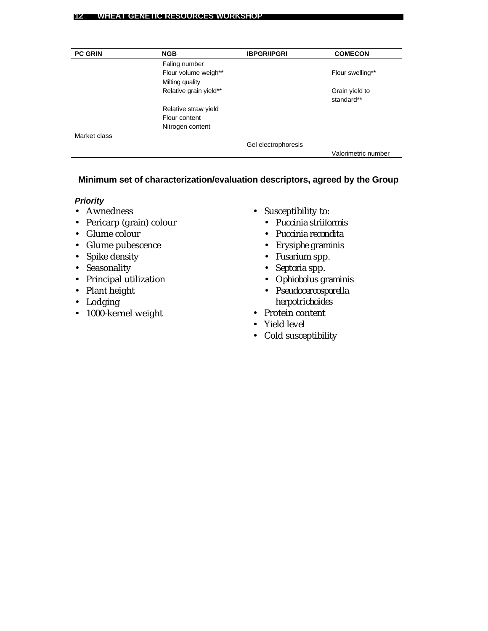| <b>PC GRIN</b> | <b>NGB</b>             | <b>IBPGR/IPGRI</b>  | <b>COMECON</b>               |
|----------------|------------------------|---------------------|------------------------------|
|                | Faling number          |                     |                              |
|                | Flour volume weigh**   |                     | Flour swelling**             |
|                | Milting quality        |                     |                              |
|                | Relative grain yield** |                     | Grain yield to<br>standard** |
|                | Relative straw yield   |                     |                              |
|                | Flour content          |                     |                              |
|                | Nitrogen content       |                     |                              |
| Market class   |                        |                     |                              |
|                |                        | Gel electrophoresis |                              |
|                |                        |                     | Valorimetric number          |

### **Minimum set of characterization/evaluation descriptors, agreed by the Group**

### *Priority*

- Awnedness
- Pericarp (grain) colour
- Glume colour
- Glume pubescence
- Spike density
- Seasonality
- Principal utilization
- Plant height
- Lodging
- 1000-kernel weight
- Susceptibility to:
	- *Puccinia striiformis*
	- *Puccinia recondita*
	- *Erysiphe graminis*
	- *Fusarium* spp.
	- *Septoria* spp.
	- *Ophiobolus graminis*
	- *Pseudocercosporella herpotrichoides*
- Protein content
- Yield level
- Cold susceptibility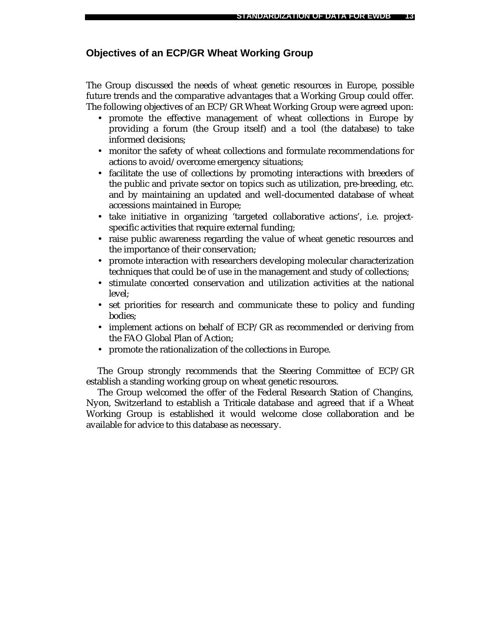### **Objectives of an ECP/GR Wheat Working Group**

The Group discussed the needs of wheat genetic resources in Europe, possible future trends and the comparative advantages that a Working Group could offer. The following objectives of an ECP/GR Wheat Working Group were agreed upon:

- promote the effective management of wheat collections in Europe by providing a forum (the Group itself) and a tool (the database) to take informed decisions;
- monitor the safety of wheat collections and formulate recommendations for actions to avoid/overcome emergency situations;
- facilitate the use of collections by promoting interactions with breeders of the public and private sector on topics such as utilization, pre-breeding, etc. and by maintaining an updated and well-documented database of wheat accessions maintained in Europe;
- take initiative in organizing 'targeted collaborative actions', i.e. projectspecific activities that require external funding;
- raise public awareness regarding the value of wheat genetic resources and the importance of their conservation;
- promote interaction with researchers developing molecular characterization techniques that could be of use in the management and study of collections;
- stimulate concerted conservation and utilization activities at the national level;
- set priorities for research and communicate these to policy and funding bodies;
- implement actions on behalf of ECP/GR as recommended or deriving from the FAO Global Plan of Action;
- promote the rationalization of the collections in Europe.

The Group strongly recommends that the Steering Committee of ECP/GR establish a standing working group on wheat genetic resources.

The Group welcomed the offer of the Federal Research Station of Changins, Nyon, Switzerland to establish a *Triticale* database and agreed that if a Wheat Working Group is established it would welcome close collaboration and be available for advice to this database as necessary.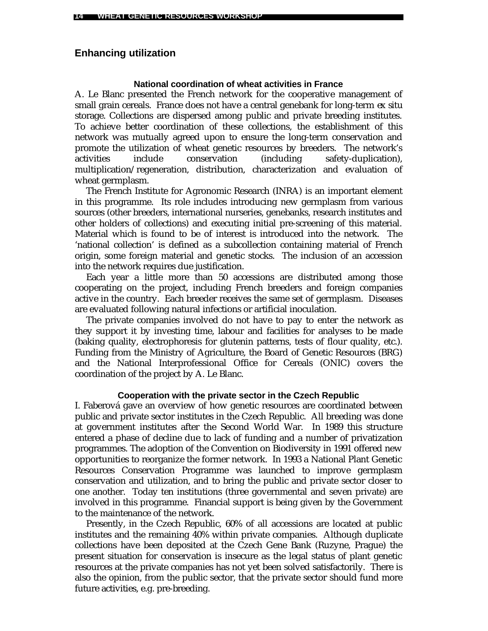### **Enhancing utilization**

#### **National coordination of wheat activities in France**

A. Le Blanc presented the French network for the cooperative management of small grain cereals. France does not have a central genebank for long-term *ex situ* storage. Collections are dispersed among public and private breeding institutes. To achieve better coordination of these collections, the establishment of this network was mutually agreed upon to ensure the long-term conservation and promote the utilization of wheat genetic resources by breeders. The network's activities include conservation (including safety-duplication), multiplication/regeneration, distribution, characterization and evaluation of wheat germplasm.

The French Institute for Agronomic Research (INRA) is an important element in this programme. Its role includes introducing new germplasm from various sources (other breeders, international nurseries, genebanks, research institutes and other holders of collections) and executing initial pre-screening of this material. Material which is found to be of interest is introduced into the network. The 'national collection' is defined as a subcollection containing material of French origin, some foreign material and genetic stocks. The inclusion of an accession into the network requires due justification.

Each year a little more than 50 accessions are distributed among those cooperating on the project, including French breeders and foreign companies active in the country. Each breeder receives the same set of germplasm. Diseases are evaluated following natural infections or artificial inoculation.

The private companies involved do not have to pay to enter the network as they support it by investing time, labour and facilities for analyses to be made (baking quality, electrophoresis for glutenin patterns, tests of flour quality, etc.). Funding from the Ministry of Agriculture, the Board of Genetic Resources (BRG) and the National Interprofessional Office for Cereals (ONIC) covers the coordination of the project by A. Le Blanc.

#### **Cooperation with the private sector in the Czech Republic**

I. Faberová gave an overview of how genetic resources are coordinated between public and private sector institutes in the Czech Republic. All breeding was done at government institutes after the Second World War. In 1989 this structure entered a phase of decline due to lack of funding and a number of privatization programmes. The adoption of the Convention on Biodiversity in 1991 offered new opportunities to reorganize the former network. In 1993 a National Plant Genetic Resources Conservation Programme was launched to improve germplasm conservation and utilization, and to bring the public and private sector closer to one another. Today ten institutions (three governmental and seven private) are involved in this programme. Financial support is being given by the Government to the maintenance of the network.

Presently, in the Czech Republic, 60% of all accessions are located at public institutes and the remaining 40% within private companies. Although duplicate collections have been deposited at the Czech Gene Bank (Ruzyne, Prague) the present situation for conservation is insecure as the legal status of plant genetic resources at the private companies has not yet been solved satisfactorily. There is also the opinion, from the public sector, that the private sector should fund more future activities, e.g. pre-breeding.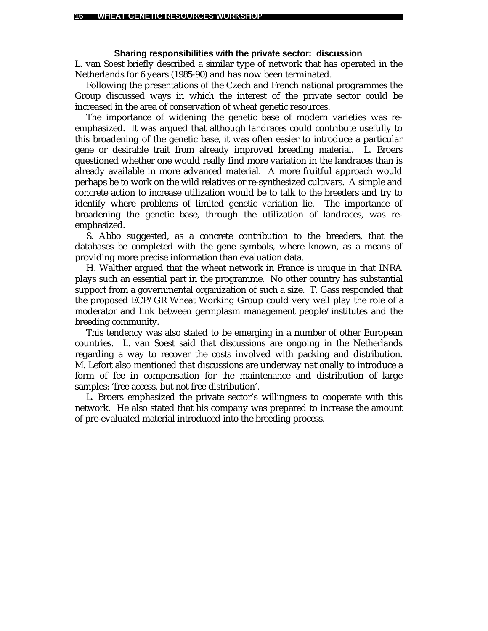#### **Sharing responsibilities with the private sector: discussion**

L. van Soest briefly described a similar type of network that has operated in the Netherlands for 6 years (1985-90) and has now been terminated.

Following the presentations of the Czech and French national programmes the Group discussed ways in which the interest of the private sector could be increased in the area of conservation of wheat genetic resources.

The importance of widening the genetic base of modern varieties was reemphasized. It was argued that although landraces could contribute usefully to this broadening of the genetic base, it was often easier to introduce a particular gene or desirable trait from already improved breeding material. L. Broers questioned whether one would really find more variation in the landraces than is already available in more advanced material. A more fruitful approach would perhaps be to work on the wild relatives or re-synthesized cultivars. A simple and concrete action to increase utilization would be to talk to the breeders and try to identify where problems of limited genetic variation lie. The importance of broadening the genetic base, through the utilization of landraces, was reemphasized.

S. Abbo suggested, as a concrete contribution to the breeders, that the databases be completed with the gene symbols, where known, as a means of providing more precise information than evaluation data.

H. Walther argued that the wheat network in France is unique in that INRA plays such an essential part in the programme. No other country has substantial support from a governmental organization of such a size. T. Gass responded that the proposed ECP/GR Wheat Working Group could very well play the role of a moderator and link between germplasm management people/institutes and the breeding community.

This tendency was also stated to be emerging in a number of other European countries. L. van Soest said that discussions are ongoing in the Netherlands regarding a way to recover the costs involved with packing and distribution. M. Lefort also mentioned that discussions are underway nationally to introduce a form of fee in compensation for the maintenance and distribution of large samples: 'free access, but not free distribution'.

L. Broers emphasized the private sector's willingness to cooperate with this network. He also stated that his company was prepared to increase the amount of pre-evaluated material introduced into the breeding process.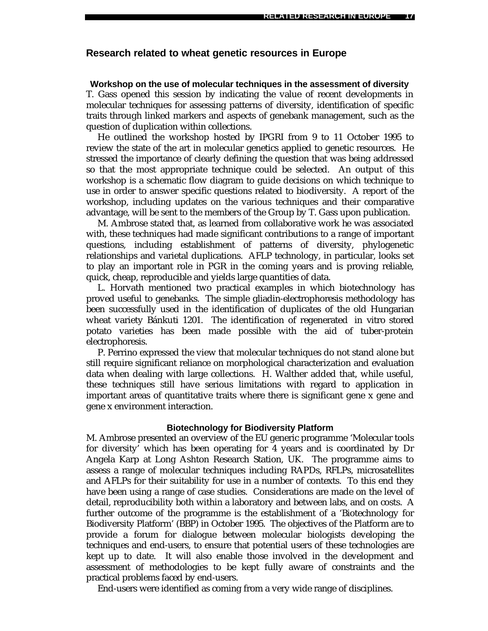#### **Research related to wheat genetic resources in Europe**

#### **Workshop on the use of molecular techniques in the assessment of diversity**

T. Gass opened this session by indicating the value of recent developments in molecular techniques for assessing patterns of diversity, identification of specific traits through linked markers and aspects of genebank management, such as the question of duplication within collections.

He outlined the workshop hosted by IPGRI from 9 to 11 October 1995 to review the state of the art in molecular genetics applied to genetic resources. He stressed the importance of clearly defining the question that was being addressed so that the most appropriate technique could be selected. An output of this workshop is a schematic flow diagram to guide decisions on which technique to use in order to answer specific questions related to biodiversity. A report of the workshop, including updates on the various techniques and their comparative advantage, will be sent to the members of the Group by T. Gass upon publication.

M. Ambrose stated that, as learned from collaborative work he was associated with, these techniques had made significant contributions to a range of important questions, including establishment of patterns of diversity, phylogenetic relationships and varietal duplications. AFLP technology, in particular, looks set to play an important role in PGR in the coming years and is proving reliable, quick, cheap, reproducible and yields large quantities of data.

L. Horvath mentioned two practical examples in which biotechnology has proved useful to genebanks. The simple gliadin-electrophoresis methodology has been successfully used in the identification of duplicates of the old Hungarian wheat variety Bánkuti 1201. The identification of regenerated *in vitro* stored potato varieties has been made possible with the aid of tuber-protein electrophoresis.

P. Perrino expressed the view that molecular techniques do not stand alone but still require significant reliance on morphological characterization and evaluation data when dealing with large collections. H. Walther added that, while useful, these techniques still have serious limitations with regard to application in important areas of quantitative traits where there is significant gene x gene and gene x environment interaction.

#### **Biotechnology for Biodiversity Platform**

M. Ambrose presented an overview of the EU generic programme 'Molecular tools for diversity' which has been operating for 4 years and is coordinated by Dr Angela Karp at Long Ashton Research Station, UK. The programme aims to assess a range of molecular techniques including RAPDs, RFLPs, microsatellites and AFLPs for their suitability for use in a number of contexts. To this end they have been using a range of case studies. Considerations are made on the level of detail, reproducibility both within a laboratory and between labs, and on costs. A further outcome of the programme is the establishment of a 'Biotechnology for Biodiversity Platform' (BBP) in October 1995. The objectives of the Platform are to provide a forum for dialogue between molecular biologists developing the techniques and end-users, to ensure that potential users of these technologies are kept up to date. It will also enable those involved in the development and assessment of methodologies to be kept fully aware of constraints and the practical problems faced by end-users.

End-users were identified as coming from a very wide range of disciplines.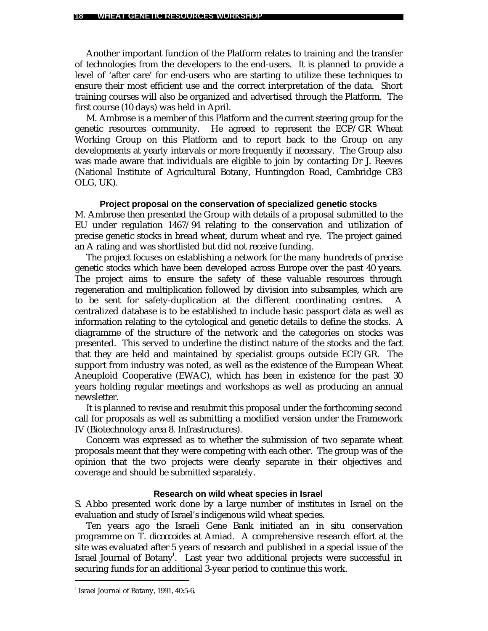Another important function of the Platform relates to training and the transfer of technologies from the developers to the end-users. It is planned to provide a level of 'after care' for end-users who are starting to utilize these techniques to ensure their most efficient use and the correct interpretation of the data. Short training courses will also be organized and advertised through the Platform. The first course (10 days) was held in April.

M. Ambrose is a member of this Platform and the current steering group for the genetic resources community. He agreed to represent the ECP/GR Wheat Working Group on this Platform and to report back to the Group on any developments at yearly intervals or more frequently if necessary. The Group also was made aware that individuals are eligible to join by contacting Dr J. Reeves (National Institute of Agricultural Botany, Huntingdon Road, Cambridge CB3 OLG, UK).

#### **Project proposal on the conservation of specialized genetic stocks**

M. Ambrose then presented the Group with details of a proposal submitted to the EU under regulation 1467/94 relating to the conservation and utilization of precise genetic stocks in bread wheat, durum wheat and rye. The project gained an A rating and was shortlisted but did not receive funding.

The project focuses on establishing a network for the many hundreds of precise genetic stocks which have been developed across Europe over the past 40 years. The project aims to ensure the safety of these valuable resources through regeneration and multiplication followed by division into subsamples, which are to be sent for safety-duplication at the different coordinating centres. A centralized database is to be established to include basic passport data as well as information relating to the cytological and genetic details to define the stocks. A diagramme of the structure of the network and the categories on stocks was presented. This served to underline the distinct nature of the stocks and the fact that they are held and maintained by specialist groups outside ECP/GR. The support from industry was noted, as well as the existence of the European Wheat Aneuploid Cooperative (EWAC), which has been in existence for the past 30 years holding regular meetings and workshops as well as producing an annual newsletter.

It is planned to revise and resubmit this proposal under the forthcoming second call for proposals as well as submitting a modified version under the Framework IV (Biotechnology area 8. Infrastructures).

Concern was expressed as to whether the submission of two separate wheat proposals meant that they were competing with each other. The group was of the opinion that the two projects were clearly separate in their objectives and coverage and should be submitted separately.

#### **Research on wild wheat species in Israel**

S. Abbo presented work done by a large number of institutes in Israel on the evaluation and study of Israel's indigenous wild wheat species.

Ten years ago the Israeli Gene Bank initiated an *in situ* conservation programme on *T. dicoccoides* at Amiad. A comprehensive research effort at the site was evaluated after 5 years of research and published in a special issue of the Israel Journal of Botany<sup>1</sup>. Last year two additional projects were successful in securing funds for an additional 3-year period to continue this work.

 $\overline{a}$ 

<sup>&</sup>lt;sup>1</sup> Israel Journal of Botany, 1991, 40:5-6.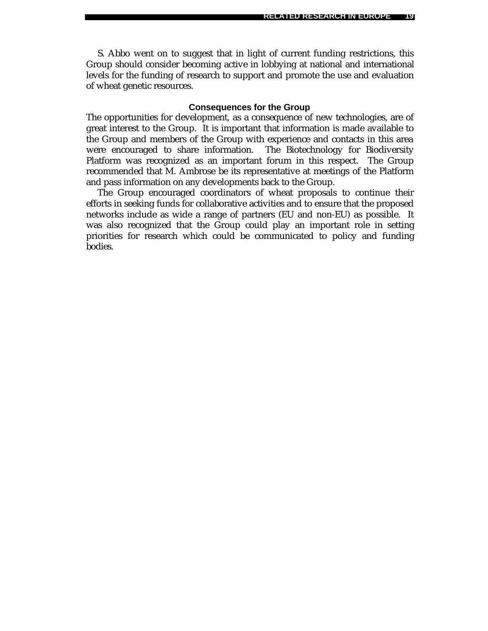S. Abbo went on to suggest that in light of current funding restrictions, this Group should consider becoming active in lobbying at national and international levels for the funding of research to support and promote the use and evaluation of wheat genetic resources.

#### **Consequences for the Group**

The opportunities for development, as a consequence of new technologies, are of great interest to the Group. It is important that information is made available to the Group and members of the Group with experience and contacts in this area were encouraged to share information. The Biotechnology for Biodiversity Platform was recognized as an important forum in this respect. The Group recommended that M. Ambrose be its representative at meetings of the Platform and pass information on any developments back to the Group.

The Group encouraged coordinators of wheat proposals to continue their efforts in seeking funds for collaborative activities and to ensure that the proposed networks include as wide a range of partners (EU and non-EU) as possible. It was also recognized that the Group could play an important role in setting priorities for research which could be communicated to policy and funding bodies.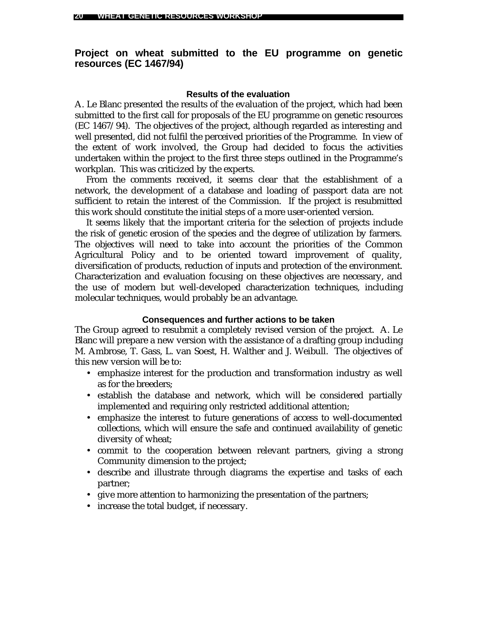### **Project on wheat submitted to the EU programme on genetic resources (EC 1467/94)**

#### **Results of the evaluation**

A. Le Blanc presented the results of the evaluation of the project, which had been submitted to the first call for proposals of the EU programme on genetic resources (EC 1467/94). The objectives of the project, although regarded as interesting and well presented, did not fulfil the perceived priorities of the Programme. In view of the extent of work involved, the Group had decided to focus the activities undertaken within the project to the first three steps outlined in the Programme's workplan. This was criticized by the experts.

From the comments received, it seems clear that the establishment of a network, the development of a database and loading of passport data are not sufficient to retain the interest of the Commission. If the project is resubmitted this work should constitute the initial steps of a more user-oriented version.

It seems likely that the important criteria for the selection of projects include the risk of genetic erosion of the species and the degree of utilization by farmers. The objectives will need to take into account the priorities of the Common Agricultural Policy and to be oriented toward improvement of quality, diversification of products, reduction of inputs and protection of the environment. Characterization and evaluation focusing on these objectives are necessary, and the use of modern but well-developed characterization techniques, including molecular techniques, would probably be an advantage.

#### **Consequences and further actions to be taken**

The Group agreed to resubmit a completely revised version of the project. A. Le Blanc will prepare a new version with the assistance of a drafting group including M. Ambrose, T. Gass, L. van Soest, H. Walther and J. Weibull. The objectives of this new version will be to:

- emphasize interest for the production and transformation industry as well as for the breeders;
- establish the database and network, which will be considered partially implemented and requiring only restricted additional attention;
- emphasize the interest to future generations of access to well-documented collections, which will ensure the safe and continued availability of genetic diversity of wheat;
- commit to the cooperation between relevant partners, giving a strong Community dimension to the project;
- describe and illustrate through diagrams the expertise and tasks of each partner;
- give more attention to harmonizing the presentation of the partners;
- increase the total budget, if necessary.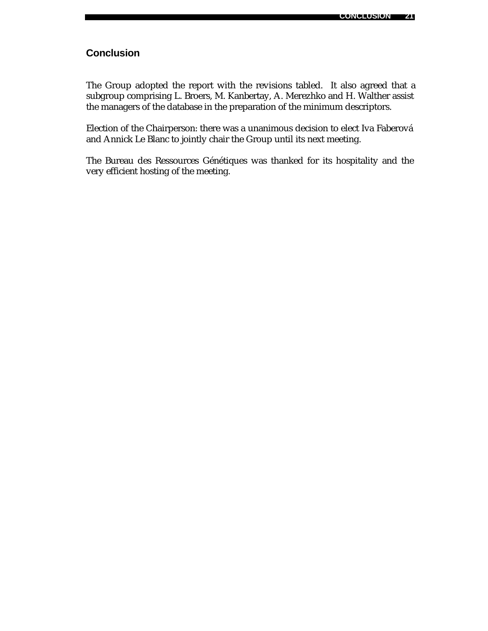## **Conclusion**

The Group adopted the report with the revisions tabled. It also agreed that a subgroup comprising L. Broers, M. Kanbertay, A. Merezhko and H. Walther assist the managers of the database in the preparation of the minimum descriptors.

Election of the Chairperson: there was a unanimous decision to elect Iva Faberová and Annick Le Blanc to jointly chair the Group until its next meeting.

The Bureau des Ressources Génétiques was thanked for its hospitality and the very efficient hosting of the meeting.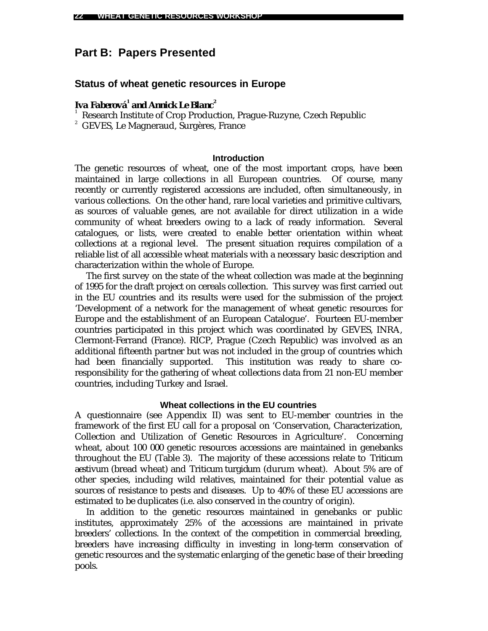## **Part B: Papers Presented**

### **Status of wheat genetic resources in Europe**

### *Iva Faberová<sup>1</sup> and Annick Le Blanc<sup>2</sup>*

1 Research Institute of Crop Production, Prague-Ruzyne, Czech Republic

<sup>2</sup> GEVES, Le Magneraud, Surgères, France

#### **Introduction**

The genetic resources of wheat, one of the most important crops, have been maintained in large collections in all European countries. Of course, many recently or currently registered accessions are included, often simultaneously, in various collections. On the other hand, rare local varieties and primitive cultivars, as sources of valuable genes, are not available for direct utilization in a wide community of wheat breeders owing to a lack of ready information. Several catalogues, or lists, were created to enable better orientation within wheat collections at a regional level. The present situation requires compilation of a reliable list of all accessible wheat materials with a necessary basic description and characterization within the whole of Europe.

The first survey on the state of the wheat collection was made at the beginning of 1995 for the draft project on cereals collection. This survey was first carried out in the EU countries and its results were used for the submission of the project 'Development of a network for the management of wheat genetic resources for Europe and the establishment of an European Catalogue'. Fourteen EU-member countries participated in this project which was coordinated by GEVES, INRA, Clermont-Ferrand (France). RICP, Prague (Czech Republic) was involved as an additional fifteenth partner but was not included in the group of countries which had been financially supported. This institution was ready to share coresponsibility for the gathering of wheat collections data from 21 non-EU member countries, including Turkey and Israel.

#### **Wheat collections in the EU countries**

A questionnaire (see Appendix II) was sent to EU-member countries in the framework of the first EU call for a proposal on 'Conservation, Characterization, Collection and Utilization of Genetic Resources in Agriculture'. Concerning wheat, about 100 000 genetic resources accessions are maintained in genebanks throughout the EU (Table 3). The majority of these accessions relate to *Triticum aestivum* (bread wheat) and *Triticum turgidum* (durum wheat). About 5% are of other species, including wild relatives, maintained for their potential value as sources of resistance to pests and diseases. Up to 40% of these EU accessions are estimated to be duplicates (i.e. also conserved in the country of origin).

In addition to the genetic resources maintained in genebanks or public institutes, approximately 25% of the accessions are maintained in private breeders' collections. In the context of the competition in commercial breeding, breeders have increasing difficulty in investing in long-term conservation of genetic resources and the systematic enlarging of the genetic base of their breeding pools.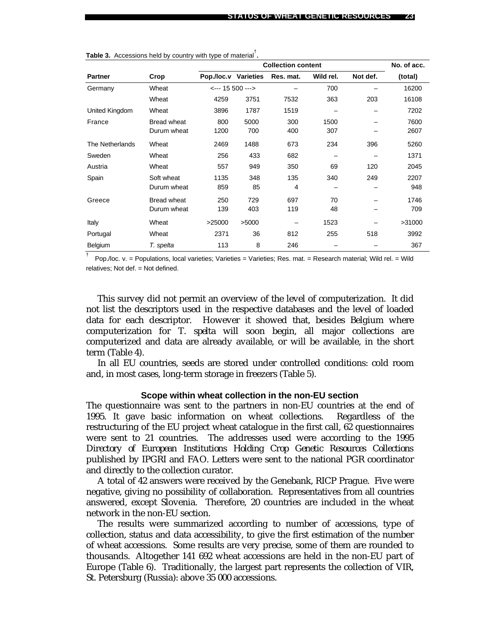|                 |             | <b>Collection content</b> |                  |           |           |          | No. of acc. |
|-----------------|-------------|---------------------------|------------------|-----------|-----------|----------|-------------|
| <b>Partner</b>  | Crop        | Pop./loc.v Varieties      |                  | Res. mat. | Wild rel. | Not def. | (total)     |
| Germany         | Wheat       |                           | <--- 15 500 ---> |           | 700       |          | 16200       |
|                 | Wheat       | 4259                      | 3751             | 7532      | 363       | 203      | 16108       |
| United Kingdom  | Wheat       | 3896                      | 1787             | 1519      |           |          | 7202        |
| France          | Bread wheat | 800                       | 5000             | 300       | 1500      |          | 7600        |
|                 | Durum wheat | 1200                      | 700              | 400       | 307       |          | 2607        |
| The Netherlands | Wheat       | 2469                      | 1488             | 673       | 234       | 396      | 5260        |
| Sweden          | Wheat       | 256                       | 433              | 682       |           |          | 1371        |
| Austria         | Wheat       | 557                       | 949              | 350       | 69        | 120      | 2045        |
| Spain           | Soft wheat  | 1135                      | 348              | 135       | 340       | 249      | 2207        |
|                 | Durum wheat | 859                       | 85               | 4         |           |          | 948         |
| Greece          | Bread wheat | 250                       | 729              | 697       | 70        |          | 1746        |
|                 | Durum wheat | 139                       | 403              | 119       | 48        |          | 709         |
| Italy           | Wheat       | >25000                    | >5000            |           | 1523      |          | >31000      |
| Portugal        | Wheat       | 2371                      | 36               | 812       | 255       | 518      | 3992        |
| Belgium         | T. spelta   | 113                       | 8                | 246       |           |          | 367         |

**Table 3.** Accessions held by country with type of material† .

<sup>†</sup> Pop./loc. v. = Populations, local varieties; Varieties = Varieties; Res. mat. = Research material; Wild rel. = Wild relatives; Not def. = Not defined.

This survey did not permit an overview of the level of computerization. It did not list the descriptors used in the respective databases and the level of loaded data for each descriptor. However it showed that, besides Belgium where computerization for *T. spelta* will soon begin, all major collections are computerized and data are already available, or will be available, in the short term (Table 4).

In all EU countries, seeds are stored under controlled conditions: cold room and, in most cases, long-term storage in freezers (Table 5).

#### **Scope within wheat collection in the non-EU section**

The questionnaire was sent to the partners in non-EU countries at the end of 1995. It gave basic information on wheat collections. Regardless of the restructuring of the EU project wheat catalogue in the first call, 62 questionnaires were sent to 21 countries. The addresses used were according to the 1995 *Directory of European Institutions Holding Crop Genetic Resources Collections* published by IPGRI and FAO. Letters were sent to the national PGR coordinator and directly to the collection curator.

A total of 42 answers were received by the Genebank, RICP Prague. Five were negative, giving no possibility of collaboration. Representatives from all countries answered, except Slovenia. Therefore, 20 countries are included in the wheat network in the non-EU section.

The results were summarized according to number of accessions, type of collection, status and data accessibility, to give the first estimation of the number of wheat accessions. Some results are very precise, some of them are rounded to thousands. Altogether 141 692 wheat accessions are held in the non-EU part of Europe (Table 6). Traditionally, the largest part represents the collection of VIR, St. Petersburg (Russia): above 35 000 accessions.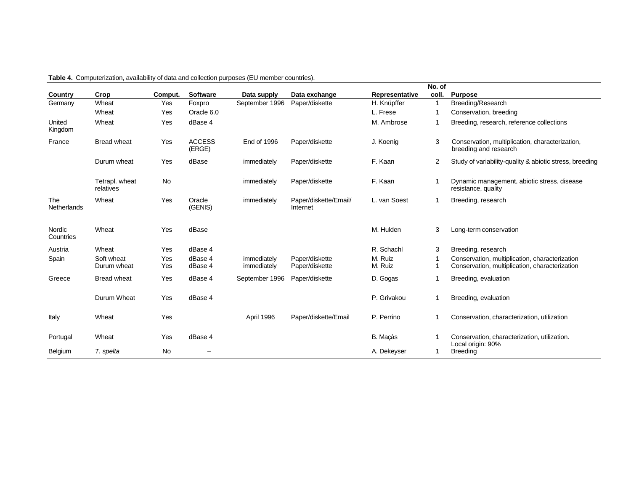|                     |                             |            |                         |                            |                                   |                    | No. of         |                                                                                                  |
|---------------------|-----------------------------|------------|-------------------------|----------------------------|-----------------------------------|--------------------|----------------|--------------------------------------------------------------------------------------------------|
| Country             | Crop                        | Comput.    | <b>Software</b>         | Data supply                | Data exchange                     | Representative     | coll.          | <b>Purpose</b>                                                                                   |
| Germany             | Wheat                       | Yes        | Foxpro                  | September 1996             | Paper/diskette                    | H. Knüpffer        | 1              | Breeding/Research                                                                                |
|                     | Wheat                       | Yes        | Oracle 6.0              |                            |                                   | L. Frese           | $\mathbf{1}$   | Conservation, breeding                                                                           |
| United<br>Kingdom   | Wheat                       | Yes        | dBase 4                 |                            |                                   | M. Ambrose         | 1              | Breeding, research, reference collections                                                        |
| France              | <b>Bread wheat</b>          | Yes        | <b>ACCESS</b><br>(ERGE) | <b>End of 1996</b>         | Paper/diskette                    | J. Koenig          | 3              | Conservation, multiplication, characterization,<br>breeding and research                         |
|                     | Durum wheat                 | Yes        | dBase                   | immediately                | Paper/diskette                    | F. Kaan            | $\overline{2}$ | Study of variability-quality & abiotic stress, breeding                                          |
|                     | Tetrapl. wheat<br>relatives | No         |                         | immediately                | Paper/diskette                    | F. Kaan            |                | Dynamic management, abiotic stress, disease<br>resistance, quality                               |
| The<br>Netherlands  | Wheat                       | Yes        | Oracle<br>(GENIS)       | immediately                | Paper/diskette/Email/<br>Internet | L. van Soest       | 1              | Breeding, research                                                                               |
| Nordic<br>Countries | Wheat                       | Yes        | dBase                   |                            |                                   | M. Hulden          | 3              | Long-term conservation                                                                           |
| Austria             | Wheat                       | Yes        | dBase 4                 |                            |                                   | R. Schachl         | 3              | Breeding, research                                                                               |
| Spain               | Soft wheat<br>Durum wheat   | Yes<br>Yes | dBase 4<br>dBase 4      | immediately<br>immediately | Paper/diskette<br>Paper/diskette  | M. Ruiz<br>M. Ruiz | 1              | Conservation, multiplication, characterization<br>Conservation, multiplication, characterization |
| Greece              | <b>Bread wheat</b>          | Yes        | dBase 4                 | September 1996             | Paper/diskette                    | D. Gogas           | 1              | Breeding, evaluation                                                                             |
|                     | Durum Wheat                 | Yes        | dBase 4                 |                            |                                   | P. Grivakou        | 1              | Breeding, evaluation                                                                             |
| Italy               | Wheat                       | Yes        |                         | April 1996                 | Paper/diskette/Email              | P. Perrino         |                | Conservation, characterization, utilization                                                      |
| Portugal            | Wheat                       | Yes        | dBase 4                 |                            |                                   | B. Maçàs           |                | Conservation, characterization, utilization.<br>Local origin: 90%                                |
| Belgium             | T. spelta                   | No         |                         |                            |                                   | A. Dekeyser        | 1              | <b>Breeding</b>                                                                                  |

**Table 4.** Computerization, availability of data and collection purposes (EU member countries).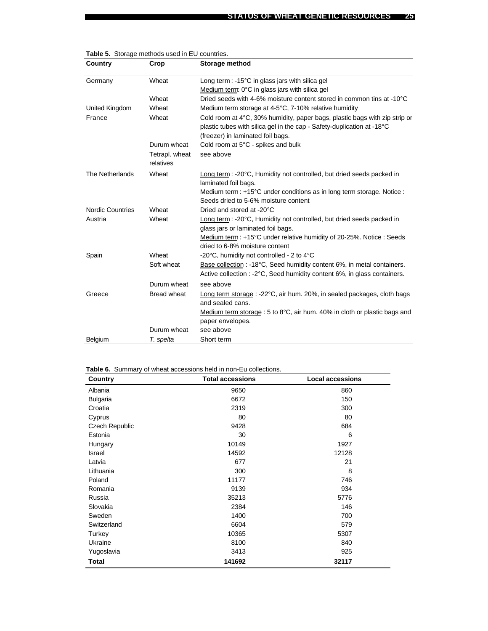| Country                 | Crop                        | Storage method                                                                                                                                                                            |
|-------------------------|-----------------------------|-------------------------------------------------------------------------------------------------------------------------------------------------------------------------------------------|
| Germany                 | Wheat                       | Long term: $-15^{\circ}$ C in glass jars with silica gel                                                                                                                                  |
|                         |                             | Medium term: 0°C in glass jars with silica gel                                                                                                                                            |
|                         | Wheat                       | Dried seeds with 4-6% moisture content stored in common tins at -10°C                                                                                                                     |
| United Kingdom          | Wheat                       | Medium term storage at 4-5°C, 7-10% relative humidity                                                                                                                                     |
| France                  | Wheat                       | Cold room at 4°C, 30% humidity, paper bags, plastic bags with zip strip or<br>plastic tubes with silica gel in the cap - Safety-duplication at -18°C<br>(freezer) in laminated foil bags. |
|                         | Durum wheat                 | Cold room at 5°C - spikes and bulk                                                                                                                                                        |
|                         | Tetrapl. wheat<br>relatives | see above                                                                                                                                                                                 |
| The Netherlands         | Wheat                       | Long term: -20°C, Humidity not controlled, but dried seeds packed in<br>laminated foil bags.                                                                                              |
|                         |                             | Medium term : +15°C under conditions as in long term storage. Notice :<br>Seeds dried to 5-6% moisture content                                                                            |
| <b>Nordic Countries</b> | Wheat                       | Dried and stored at -20°C                                                                                                                                                                 |
| Austria                 | Wheat                       | Long term : -20°C, Humidity not controlled, but dried seeds packed in<br>glass jars or laminated foil bags.                                                                               |
|                         |                             | Medium term: +15°C under relative humidity of 20-25%. Notice: Seeds<br>dried to 6-8% moisture content                                                                                     |
| Spain                   | Wheat                       | -20 $\degree$ C, humidity not controlled - 2 to 4 $\degree$ C                                                                                                                             |
|                         | Soft wheat                  | Base collection : -18°C, Seed humidity content 6%, in metal containers.<br>Active collection : -2°C, Seed humidity content 6%, in glass containers.                                       |
|                         | Durum wheat                 | see above                                                                                                                                                                                 |
| Greece                  | Bread wheat                 | Long term storage : -22°C, air hum. 20%, in sealed packages, cloth bags<br>and sealed cans.                                                                                               |
|                         |                             | Medium term storage : 5 to 8°C, air hum. 40% in cloth or plastic bags and<br>paper envelopes.                                                                                             |
|                         | Durum wheat                 | see above                                                                                                                                                                                 |
| Belgium                 | T. spelta                   | Short term                                                                                                                                                                                |

|  |  |  |  |  | Table 5. Storage methods used in EU countries. |
|--|--|--|--|--|------------------------------------------------|
|--|--|--|--|--|------------------------------------------------|

**Table 6.** Summary of wheat accessions held in non-Eu collections.

| Country         | <b>Total accessions</b> | <b>Local accessions</b> |
|-----------------|-------------------------|-------------------------|
| Albania         | 9650                    | 860                     |
| <b>Bulgaria</b> | 6672                    | 150                     |
| Croatia         | 2319                    | 300                     |
| Cyprus          | 80                      | 80                      |
| Czech Republic  | 9428                    | 684                     |
| Estonia         | 30                      | 6                       |
| Hungary         | 10149                   | 1927                    |
| Israel          | 14592                   | 12128                   |
| Latvia          | 677                     | 21                      |
| Lithuania       | 300                     | 8                       |
| Poland          | 11177                   | 746                     |
| Romania         | 9139                    | 934                     |
| Russia          | 35213                   | 5776                    |
| Slovakia        | 2384                    | 146                     |
| Sweden          | 1400                    | 700                     |
| Switzerland     | 6604                    | 579                     |
| Turkey          | 10365                   | 5307                    |
| Ukraine         | 8100                    | 840                     |
| Yugoslavia      | 3413                    | 925                     |
| Total           | 141692                  | 32117                   |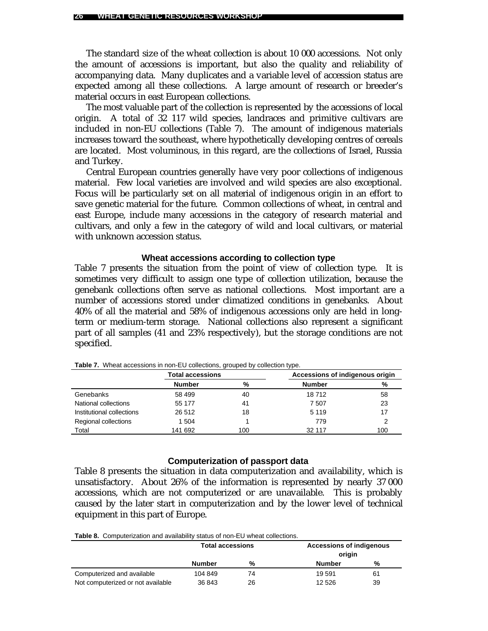The standard size of the wheat collection is about 10 000 accessions. Not only the amount of accessions is important, but also the quality and reliability of accompanying data. Many duplicates and a variable level of accession status are expected among all these collections. A large amount of research or breeder's material occurs in east European collections.

The most valuable part of the collection is represented by the accessions of local origin. A total of 32 117 wild species, landraces and primitive cultivars are included in non-EU collections (Table 7). The amount of indigenous materials increases toward the southeast, where hypothetically developing centres of cereals are located. Most voluminous, in this regard, are the collections of Israel, Russia and Turkey.

Central European countries generally have very poor collections of indigenous material. Few local varieties are involved and wild species are also exceptional. Focus will be particularly set on all material of indigenous origin in an effort to save genetic material for the future. Common collections of wheat, in central and east Europe, include many accessions in the category of research material and cultivars, and only a few in the category of wild and local cultivars, or material with unknown accession status.

#### **Wheat accessions according to collection type**

Table 7 presents the situation from the point of view of collection type. It is sometimes very difficult to assign one type of collection utilization, because the genebank collections often serve as national collections. Most important are a number of accessions stored under climatized conditions in genebanks. About 40% of all the material and 58% of indigenous accessions only are held in longterm or medium-term storage. National collections also represent a significant part of all samples (41 and 23% respectively), but the storage conditions are not specified.

| . .                       |                         |     |                                 |     |  |
|---------------------------|-------------------------|-----|---------------------------------|-----|--|
|                           | <b>Total accessions</b> |     | Accessions of indigenous origin |     |  |
|                           | <b>Number</b>           | %   | <b>Number</b>                   | %   |  |
| Genebanks                 | 58 499                  | 40  | 18712                           | 58  |  |
| National collections      | 55 177                  | 41  | 7 507                           | 23  |  |
| Institutional collections | 26 512                  | 18  | 5 1 1 9                         |     |  |
| Regional collections      | 1 504                   |     | 779                             |     |  |
| Total                     | 141 692                 | 100 | 32 117                          | 100 |  |
|                           |                         |     |                                 |     |  |

**Table 7.** Wheat accessions in non-EU collections, grouped by collection type.

#### **Computerization of passport data**

Table 8 presents the situation in data computerization and availability, which is unsatisfactory. About 26% of the information is represented by nearly 37 000 accessions, which are not computerized or are unavailable. This is probably caused by the later start in computerization and by the lower level of technical equipment in this part of Europe.

**Table 8.** Computerization and availability status of non-EU wheat collections.

|                                   | <b>Total accessions</b> |    | <b>Accessions of indigenous</b><br>origin |    |
|-----------------------------------|-------------------------|----|-------------------------------------------|----|
|                                   | <b>Number</b>           | %  | Number                                    | %  |
| Computerized and available        | 104 849                 | 74 | 19 591                                    | 61 |
| Not computerized or not available | 36 843                  | 26 | 12 5 26                                   | 39 |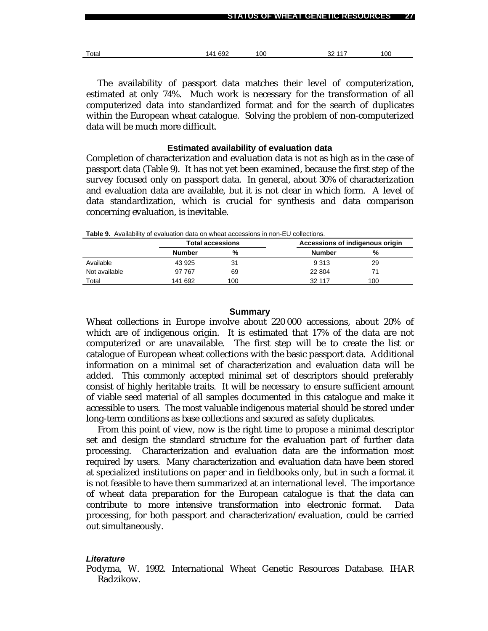| Total | 141 692 | 100 | 32 117 | 100 |
|-------|---------|-----|--------|-----|

**STATUS OF WHEAT GENETIC RESOURCES 27**

The availability of passport data matches their level of computerization, estimated at only 74%. Much work is necessary for the transformation of all computerized data into standardized format and for the search of duplicates within the European wheat catalogue. Solving the problem of non-computerized data will be much more difficult.

#### **Estimated availability of evaluation data**

Completion of characterization and evaluation data is not as high as in the case of passport data (Table 9). It has not yet been examined, because the first step of the survey focused only on passport data. In general, about 30% of characterization and evaluation data are available, but it is not clear in which form. A level of data standardization, which is crucial for synthesis and data comparison concerning evaluation, is inevitable.

|               |         | <b>Total accessions</b> |               | Accessions of indigenous origin |
|---------------|---------|-------------------------|---------------|---------------------------------|
|               | Number  | %                       | <b>Number</b> | %                               |
| Available     | 43 925  | 31                      | 9 3 1 3       | 29                              |
| Not available | 97 767  | 69                      | 22 804        | 71                              |
| Total         | 141 692 | 100                     | 32 117        | 100                             |

**Table 9.** Availability of evaluation data on wheat accessions in non-EU collections.

#### **Summary**

Wheat collections in Europe involve about 220 000 accessions, about 20% of which are of indigenous origin. It is estimated that 17% of the data are not computerized or are unavailable. The first step will be to create the list or catalogue of European wheat collections with the basic passport data. Additional information on a minimal set of characterization and evaluation data will be added. This commonly accepted minimal set of descriptors should preferably consist of highly heritable traits. It will be necessary to ensure sufficient amount of viable seed material of all samples documented in this catalogue and make it accessible to users. The most valuable indigenous material should be stored under long-term conditions as base collections and secured as safety duplicates.

From this point of view, now is the right time to propose a minimal descriptor set and design the standard structure for the evaluation part of further data processing. Characterization and evaluation data are the information most required by users. Many characterization and evaluation data have been stored at specialized institutions on paper and in fieldbooks only, but in such a format it is not feasible to have them summarized at an international level. The importance of wheat data preparation for the European catalogue is that the data can contribute to more intensive transformation into electronic format. Data processing, for both passport and characterization/evaluation, could be carried out simultaneously.

#### *Literature*

Podyma, W. 1992. International Wheat Genetic Resources Database. IHAR Radzikow.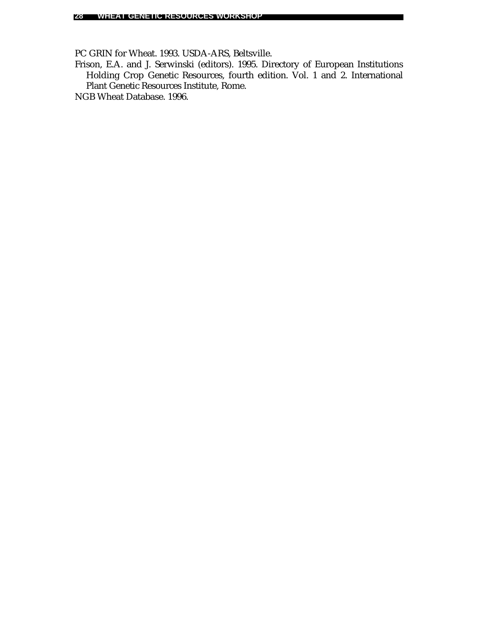PC GRIN for Wheat. 1993. USDA-ARS, Beltsville.

Frison, E.A. and J. Serwinski (editors). 1995. Directory of European Institutions Holding Crop Genetic Resources, fourth edition. Vol. 1 and 2. International Plant Genetic Resources Institute, Rome.

NGB Wheat Database. 1996.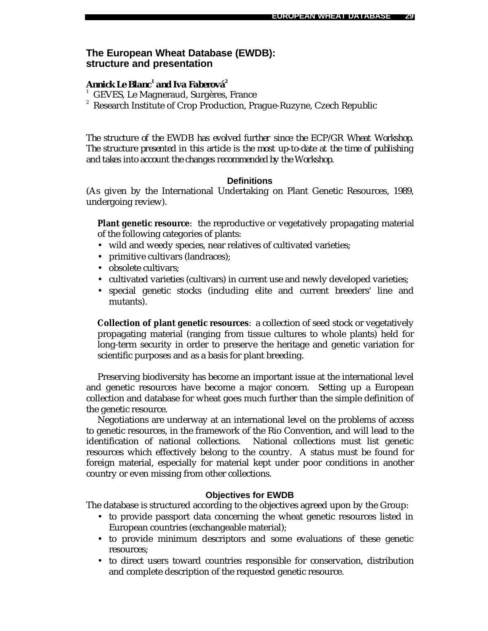### **The European Wheat Database (EWDB): structure and presentation**

### *Annick Le Blanc<sup>1</sup> and Iva Faberová<sup>2</sup>*

- 1 GEVES, Le Magneraud, Surgères, France
- 2 Research Institute of Crop Production, Prague-Ruzyne, Czech Republic

*The structure of the EWDB has evolved further since the ECP/GR Wheat Workshop. The structure presented in this article is the most up-to-date at the time of publishing and takes into account the changes recommended by the Workshop.*

#### **Definitions**

(As given by the International Undertaking on Plant Genetic Resources, 1989, undergoing review).

**Plant genetic resource**: the reproductive or vegetatively propagating material of the following categories of plants:

- wild and weedy species, near relatives of cultivated varieties;
- primitive cultivars (landraces);
- obsolete cultivars:
- cultivated varieties (cultivars) in current use and newly developed varieties;
- special genetic stocks (including elite and current breeders' line and mutants).

**Collection of plant genetic resources**: a collection of seed stock or vegetatively propagating material (ranging from tissue cultures to whole plants) held for long-term security in order to preserve the heritage and genetic variation for scientific purposes and as a basis for plant breeding.

Preserving biodiversity has become an important issue at the international level and genetic resources have become a major concern. Setting up a European collection and database for wheat goes much further than the simple definition of the genetic resource.

Negotiations are underway at an international level on the problems of access to genetic resources, in the framework of the Rio Convention, and will lead to the identification of national collections. National collections must list genetic resources which effectively belong to the country. A status must be found for foreign material, especially for material kept under poor conditions in another country or even missing from other collections.

### **Objectives for EWDB**

The database is structured according to the objectives agreed upon by the Group:

- to provide passport data concerning the wheat genetic resources listed in European countries (exchangeable material);
- to provide minimum descriptors and some evaluations of these genetic resources;
- to direct users toward countries responsible for conservation, distribution and complete description of the requested genetic resource.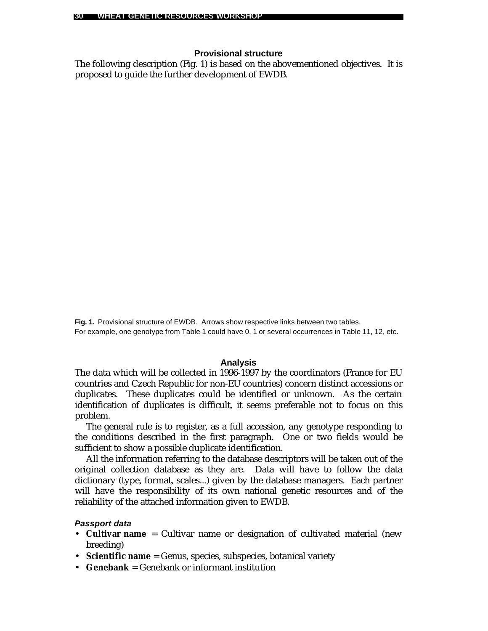### **Provisional structure**

The following description (Fig. 1) is based on the abovementioned objectives. It is proposed to guide the further development of EWDB.

**Fig. 1.** Provisional structure of EWDB. Arrows show respective links between two tables. For example, one genotype from Table 1 could have 0, 1 or several occurrences in Table 11, 12, etc.

#### **Analysis**

The data which will be collected in 1996-1997 by the coordinators (France for EU countries and Czech Republic for non-EU countries) concern distinct accessions or duplicates. These duplicates could be identified or unknown. As the certain identification of duplicates is difficult, it seems preferable not to focus on this problem.

The general rule is to register, as a full accession, any genotype responding to the conditions described in the first paragraph. One or two fields would be sufficient to show a possible duplicate identification.

All the information referring to the database descriptors will be taken out of the original collection database as they are. Data will have to follow the data dictionary (type, format, scales...) given by the database managers. Each partner will have the responsibility of its own national genetic resources and of the reliability of the attached information given to EWDB.

#### *Passport data*

- **Cultivar name** = Cultivar name or designation of cultivated material (new breeding)
- **Scientific name** = Genus, species, subspecies, botanical variety
- **Genebank** = Genebank or informant institution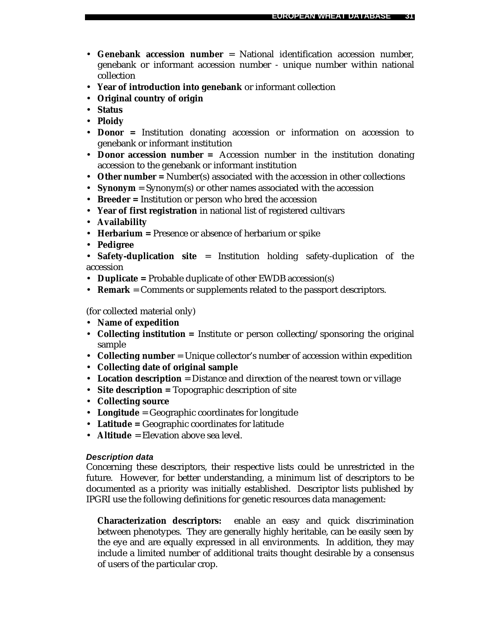- **Genebank accession number** = National identification accession number, genebank or informant accession number - unique number within national collection
- **Year of introduction into genebank** or informant collection
- **Original country of origin**
- **Status**
- **Ploidy**
- **Donor =** Institution donating accession or information on accession to genebank or informant institution
- **Donor accession number** = Accession number in the institution donating accession to the genebank or informant institution
- **Other number** = Number(s) associated with the accession in other collections
- **Synonym** = Synonym(s) or other names associated with the accession
- **Breeder =** Institution or person who bred the accession
- **Year of first registration** in national list of registered cultivars
- **Availability**
- **Herbarium =** Presence or absence of herbarium or spike
- **Pedigree**

• **Safety-duplication site** = Institution holding safety-duplication of the accession

- **Duplicate =** Probable duplicate of other EWDB accession(s)
- **Remark** = Comments or supplements related to the passport descriptors.

(for collected material only)

- **Name of expedition**
- **Collecting institution** = Institute or person collecting/sponsoring the original sample
- **Collecting number** = Unique collector's number of accession within expedition
- **Collecting date of original sample**
- Location description = Distance and direction of the nearest town or village
- **Site description =** Topographic description of site
- **Collecting source**
- **Longitude** = Geographic coordinates for longitude
- **Latitude =** Geographic coordinates for latitude
- **Altitude** = Elevation above sea level.

### *Description data*

Concerning these descriptors, their respective lists could be unrestricted in the future. However, for better understanding, a minimum list of descriptors to be documented as a priority was initially established. Descriptor lists published by IPGRI use the following definitions for genetic resources data management:

**Characterization descriptors:** enable an easy and quick discrimination between phenotypes. They are generally highly heritable, can be easily seen by the eye and are equally expressed in all environments. In addition, they may include a limited number of additional traits thought desirable by a consensus of users of the particular crop.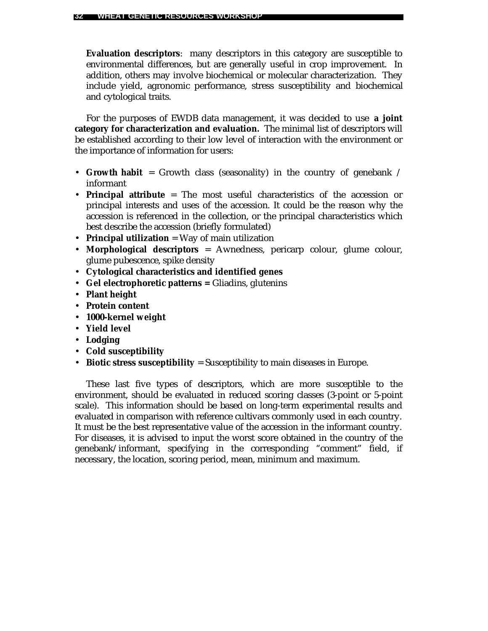**Evaluation descriptors**: many descriptors in this category are susceptible to environmental differences, but are generally useful in crop improvement. In addition, others may involve biochemical or molecular characterization. They include yield, agronomic performance, stress susceptibility and biochemical and cytological traits.

For the purposes of EWDB data management, it was decided to use **a joint category for characterization and evaluation.** The minimal list of descriptors will be established according to their low level of interaction with the environment or the importance of information for users:

- **Growth habit** = Growth class (seasonality) in the country of genebank / informant
- **Principal attribute** = The most useful characteristics of the accession or principal interests and uses of the accession. It could be the reason why the accession is referenced in the collection, or the principal characteristics which best describe the accession (briefly formulated)
- **Principal utilization** = Way of main utilization
- **Morphological descriptors** = Awnedness, pericarp colour, glume colour, glume pubescence, spike density
- **Cytological characteristics and identified genes**
- **Gel electrophoretic patterns =** Gliadins, glutenins
- **Plant height**
- **Protein content**
- **1000-kernel weight**
- **Yield level**
- **Lodging**
- **Cold susceptibility**
- **Biotic stress susceptibility** = Susceptibility to main diseases in Europe.

These last five types of descriptors, which are more susceptible to the environment, should be evaluated in reduced scoring classes (3-point or 5-point scale). This information should be based on long-term experimental results and evaluated in comparison with reference cultivars commonly used in each country. It must be the best representative value of the accession in the informant country. For diseases, it is advised to input the worst score obtained in the country of the genebank/informant, specifying in the corresponding "comment" field, if necessary, the location, scoring period, mean, minimum and maximum.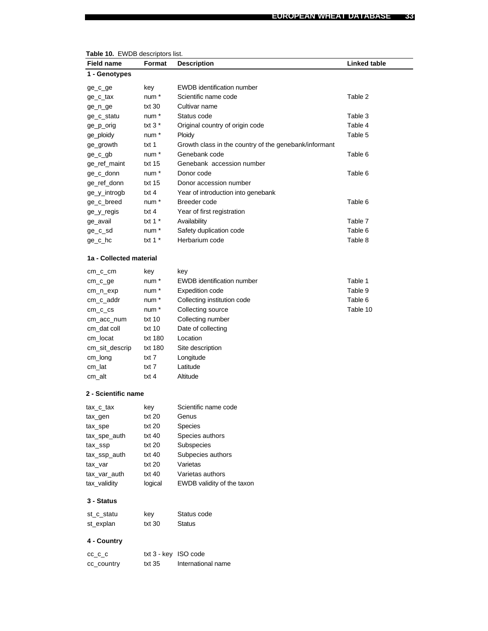| <b>Table 10.</b> EVVDB descriptors list.<br>Field name | Format           |                                                       | Linked table |
|--------------------------------------------------------|------------------|-------------------------------------------------------|--------------|
|                                                        |                  | <b>Description</b>                                    |              |
| 1 - Genotypes                                          |                  |                                                       |              |
| ge_c_ge                                                | key              | <b>EWDB</b> identification number                     |              |
| ge_c_tax                                               | num *            | Scientific name code                                  | Table 2      |
| ge_n_ge                                                | txt 30           | Cultivar name                                         |              |
| ge_c_statu                                             | num *            | Status code                                           | Table 3      |
| ge_p_orig                                              | txt $3*$         | Original country of origin code                       | Table 4      |
| ge_ploidy                                              | num *            | Ploidy                                                | Table 5      |
| ge_growth                                              | txt 1            | Growth class in the country of the genebank/informant |              |
| ge_c_gb                                                | num *            | Genebank code                                         | Table 6      |
| ge_ref_maint                                           | txt 15           | Genebank accession number                             |              |
| ge_c_donn                                              | num *            | Donor code                                            | Table 6      |
| ge_ref_donn                                            | txt 15           | Donor accession number                                |              |
| ge_y_introgb                                           | txt 4            | Year of introduction into genebank                    |              |
| ge_c_breed                                             | num <sup>*</sup> | Breeder code                                          | Table 6      |
| ge_y_regis                                             | txt 4            | Year of first registration                            |              |
| ge_avail                                               | txt 1 $*$        | Availability                                          | Table 7      |
| ge_c_sd                                                | num *            | Safety duplication code                               | Table 6      |
| ge_c_hc                                                | txt 1 $*$        | Herbarium code                                        | Table 8      |
| 1a - Collected material                                |                  |                                                       |              |
| cm_c_cm                                                | key              | key                                                   |              |
| cm_c_ge                                                | num *            | <b>EWDB</b> identification number                     | Table 1      |
| cm_n_exp                                               | num *            | <b>Expedition code</b>                                | Table 9      |
| cm_c_addr                                              | num <sup>*</sup> | Collecting institution code                           | Table 6      |
| $cm_{c_c}$ cs                                          | num *            | Collecting source                                     | Table 10     |
| cm_acc_num                                             | txt 10           | Collecting number                                     |              |
| cm_dat coll                                            | txt 10           | Date of collecting                                    |              |
| cm_locat                                               | txt 180          | Location                                              |              |
| cm_sit_descrip                                         | txt 180          | Site description                                      |              |
| cm_long                                                | txt 7            | Longitude                                             |              |
| cm_lat                                                 | txt 7            | Latitude                                              |              |
| cm_alt                                                 | txt 4            | Altitude                                              |              |
|                                                        |                  |                                                       |              |
| 2 - Scientific name                                    |                  |                                                       |              |
| tax c tax                                              | key              | Scientific name code                                  |              |
| tax_gen                                                | txt 20           | Genus                                                 |              |
| tax_spe                                                | txt 20           | Species                                               |              |
| tax_spe_auth                                           | txt 40           | Species authors                                       |              |
| tax_ssp                                                | txt 20           | Subspecies                                            |              |
| tax_ssp_auth                                           | txt 40           | Subpecies authors                                     |              |
| tax_var                                                | txt 20           | Varietas                                              |              |
| tax_var_auth                                           | txt 40           | Varietas authors                                      |              |
| tax_validity                                           | logical          | EWDB validity of the taxon                            |              |
| 3 - Status                                             |                  |                                                       |              |
| st_c_statu                                             | key              | Status code                                           |              |
| st_explan                                              | txt 30           | Status                                                |              |
| 4 - Country                                            |                  |                                                       |              |
| $cc$ _ $c$ _ $c$                                       |                  | txt 3 - key ISO code                                  |              |
| cc_country                                             | txt 35           | International name                                    |              |

|  |  | <b>Table 10.</b> EWDB descriptors list. |
|--|--|-----------------------------------------|
|--|--|-----------------------------------------|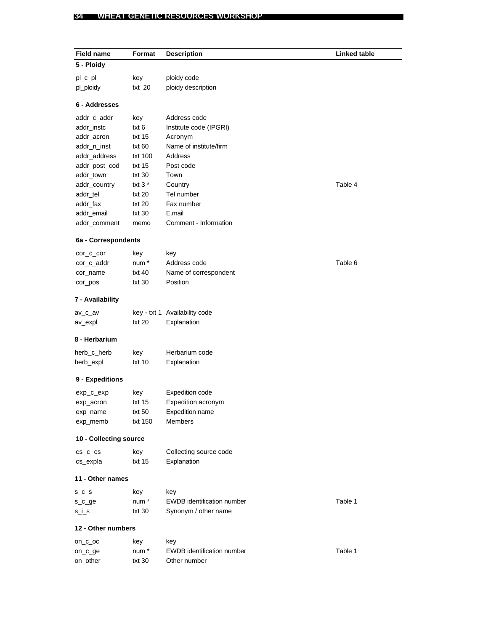#### **34 WHEAT GENETIC RESOURCES WORKSHOP**

on\_other txt 30 Other number

| <b>Field name</b>      | Format   | <b>Description</b>                | <b>Linked table</b> |
|------------------------|----------|-----------------------------------|---------------------|
| 5 - Ploidy             |          |                                   |                     |
| pl_c_pl                | key      | ploidy code                       |                     |
| pl_ploidy              | txt 20   | ploidy description                |                     |
|                        |          |                                   |                     |
| 6 - Addresses          |          |                                   |                     |
| addr_c_addr            | key      | Address code                      |                     |
| addr_instc             | txt 6    | Institute code (IPGRI)            |                     |
| addr_acron             | txt 15   | Acronym                           |                     |
| addr_n_inst            | txt 60   | Name of institute/firm            |                     |
| addr_address           | txt 100  | Address                           |                     |
| addr_post_cod          | txt 15   | Post code                         |                     |
| addr_town              | txt 30   | Town                              |                     |
| addr_country           | txt $3*$ | Country                           | Table 4             |
| addr_tel               | txt 20   | Tel number                        |                     |
| addr_fax               | txt 20   | Fax number                        |                     |
| addr_email             | txt 30   | E.mail                            |                     |
| addr_comment           | memo     | Comment - Information             |                     |
| 6a - Correspondents    |          |                                   |                     |
| cor_c_cor              | key      | key                               |                     |
| cor_c_addr             | num *    | Address code                      | Table 6             |
| cor_name               | txt 40   | Name of correspondent             |                     |
| cor_pos                | txt 30   | Position                          |                     |
| 7 - Availability       |          |                                   |                     |
|                        |          |                                   |                     |
| av_c_av                |          | key - txt 1 Availability code     |                     |
| av_expl                | txt 20   | Explanation                       |                     |
| 8 - Herbarium          |          |                                   |                     |
| herb_c_herb            | key      | Herbarium code                    |                     |
| herb_expl              | txt 10   | Explanation                       |                     |
| 9 - Expeditions        |          |                                   |                     |
| exp_c_exp              | key      | <b>Expedition code</b>            |                     |
| exp_acron              | txt 15   | Expedition acronym                |                     |
| exp_name               | txt 50   | Expedition name                   |                     |
| exp_memb               | txt 150  | Members                           |                     |
| 10 - Collecting source |          |                                   |                     |
| $cs_c_c$               | key      | Collecting source code            |                     |
| cs_expla               | txt 15   | Explanation                       |                     |
| 11 - Other names       |          |                                   |                     |
|                        |          |                                   |                     |
| $S_C_S$                | key      | key                               |                     |
| s_c_ge                 | num *    | <b>EWDB</b> identification number | Table 1             |
| $s_i$                  | txt 30   | Synonym / other name              |                     |
| 12 - Other numbers     |          |                                   |                     |
| on_c_oc                | key      | key                               |                     |
| on_c_ge                | num *    | EWDB identification number        | Table 1             |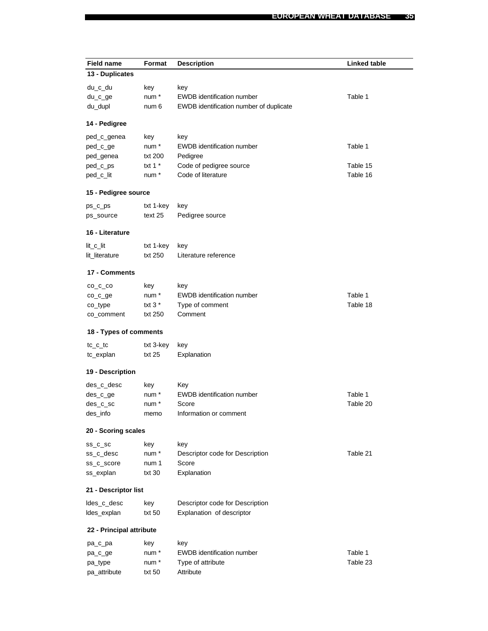| <b>Field name</b>        | Format    | <b>Description</b>                      | <b>Linked table</b> |
|--------------------------|-----------|-----------------------------------------|---------------------|
| 13 - Duplicates          |           |                                         |                     |
| du_c_du                  | key       | key                                     |                     |
| du_c_ge                  | num *     | <b>EWDB</b> identification number       | Table 1             |
| du_dupl                  | num 6     | EWDB identification number of duplicate |                     |
|                          |           |                                         |                     |
| 14 - Pedigree            |           |                                         |                     |
| ped_c_genea              | key       | key                                     |                     |
| ped_c_ge                 | num *     | <b>EWDB</b> identification number       | Table 1             |
| ped_genea                | txt 200   | Pedigree                                |                     |
| ped_c_ps                 | txt 1 $*$ | Code of pedigree source                 | Table 15            |
| ped_c_lit                | num*      | Code of literature                      | Table 16            |
| 15 - Pedigree source     |           |                                         |                     |
| $ps_c ps$                | txt 1-key | key                                     |                     |
| ps_source                | text 25   | Pedigree source                         |                     |
|                          |           |                                         |                     |
| 16 - Literature          |           |                                         |                     |
| lit_c_lit                | txt 1-key | key                                     |                     |
| lit_literature           | txt 250   | Literature reference                    |                     |
| 17 - Comments            |           |                                         |                     |
| $CO_C$ $CO$              | key       | key                                     |                     |
| co_c_ge                  | num *     | <b>EWDB</b> identification number       | Table 1             |
| co_type                  | txt $3*$  | Type of comment                         | Table 18            |
| co_comment               | txt 250   | Comment                                 |                     |
| 18 - Types of comments   |           |                                         |                     |
| $tc_c$ $tc$              | txt 3-key | key                                     |                     |
| tc_explan                | txt 25    | Explanation                             |                     |
| 19 - Description         |           |                                         |                     |
| des_c_desc               | key       | Key                                     |                     |
| des_c_ge                 | num *     | <b>EWDB</b> identification number       | Table 1             |
| des_c_sc                 | num *     | Score                                   | Table 20            |
| des_info                 | memo      | Information or comment                  |                     |
| 20 - Scoring scales      |           |                                         |                     |
| $ss\_c\_sc$              | key       | key                                     |                     |
| ss_c_desc                | num *     | Descriptor code for Description         | Table 21            |
| ss_c_score               | num 1     | Score                                   |                     |
| ss_explan                | txt 30    | Explanation                             |                     |
| 21 - Descriptor list     |           |                                         |                     |
| ldes_c_desc              | key       | Descriptor code for Description         |                     |
| Ides_explan              | txt 50    | Explanation of descriptor               |                     |
| 22 - Principal attribute |           |                                         |                     |
|                          | key       | key                                     |                     |
| pa_c_pa<br>pa_c_ge       | num *     | <b>EWDB</b> identification number       | Table 1             |
| pa_type                  | num *     | Type of attribute                       | Table 23            |
| pa_attribute             | txt 50    | Attribute                               |                     |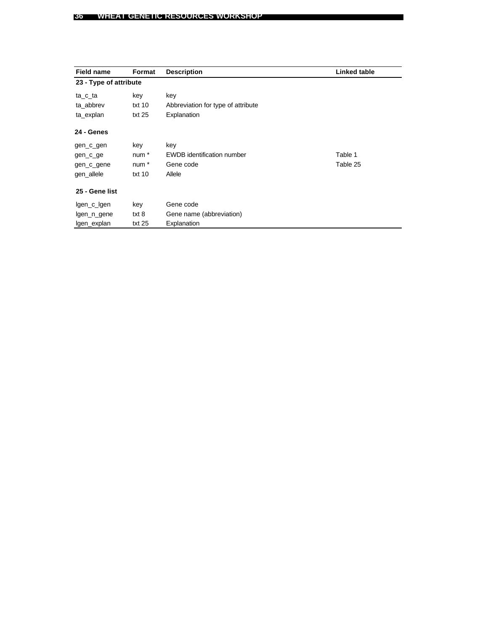| <b>Field name</b>      | Format           | <b>Description</b>                 | Linked table |
|------------------------|------------------|------------------------------------|--------------|
| 23 - Type of attribute |                  |                                    |              |
| ta_c_ta                | key              | key                                |              |
| ta_abbrev              | txt 10           | Abbreviation for type of attribute |              |
| ta_explan              | txt25            | Explanation                        |              |
| 24 - Genes             |                  |                                    |              |
| gen_c_gen              | key              | key                                |              |
| gen_c_ge               | num <sup>*</sup> | <b>EWDB</b> identification number  | Table 1      |
| gen_c_gene             | num <sup>*</sup> | Gene code                          | Table 25     |
| gen_allele             | txt $10$         | Allele                             |              |
| 25 - Gene list         |                  |                                    |              |
| lgen_c_lgen            | key              | Gene code                          |              |
| lgen_n_gene            | txt 8            | Gene name (abbreviation)           |              |
| lgen_explan            | txt 25           | Explanation                        |              |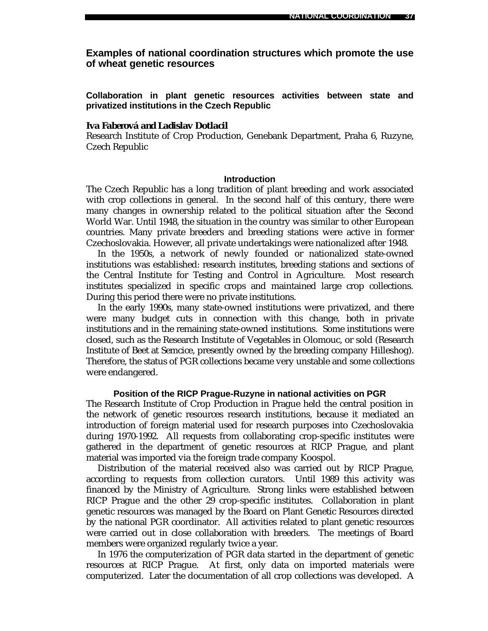**Examples of national coordination structures which promote the use of wheat genetic resources**

**Collaboration in plant genetic resources activities between state and privatized institutions in the Czech Republic**

#### *Iva Faberová and Ladislav Dotlacil*

Research Institute of Crop Production, Genebank Department, Praha 6, Ruzyne, Czech Republic

#### **Introduction**

The Czech Republic has a long tradition of plant breeding and work associated with crop collections in general. In the second half of this century, there were many changes in ownership related to the political situation after the Second World War. Until 1948, the situation in the country was similar to other European countries. Many private breeders and breeding stations were active in former Czechoslovakia. However, all private undertakings were nationalized after 1948.

In the 1950s, a network of newly founded or nationalized state-owned institutions was established: research institutes, breeding stations and sections of the Central Institute for Testing and Control in Agriculture. Most research institutes specialized in specific crops and maintained large crop collections. During this period there were no private institutions.

In the early 1990s, many state-owned institutions were privatized, and there were many budget cuts in connection with this change, both in private institutions and in the remaining state-owned institutions. Some institutions were closed, such as the Research Institute of Vegetables in Olomouc, or sold (Research Institute of Beet at Semcice, presently owned by the breeding company Hilleshog). Therefore, the status of PGR collections became very unstable and some collections were endangered.

#### **Position of the RICP Prague-Ruzyne in national activities on PGR**

The Research Institute of Crop Production in Prague held the central position in the network of genetic resources research institutions, because it mediated an introduction of foreign material used for research purposes into Czechoslovakia during 1970-1992. All requests from collaborating crop-specific institutes were gathered in the department of genetic resources at RICP Prague, and plant material was imported via the foreign trade company Koospol.

Distribution of the material received also was carried out by RICP Prague, according to requests from collection curators. Until 1989 this activity was financed by the Ministry of Agriculture. Strong links were established between RICP Prague and the other 29 crop-specific institutes. Collaboration in plant genetic resources was managed by the Board on Plant Genetic Resources directed by the national PGR coordinator. All activities related to plant genetic resources were carried out in close collaboration with breeders. The meetings of Board members were organized regularly twice a year.

In 1976 the computerization of PGR data started in the department of genetic resources at RICP Prague. At first, only data on imported materials were computerized. Later the documentation of all crop collections was developed. A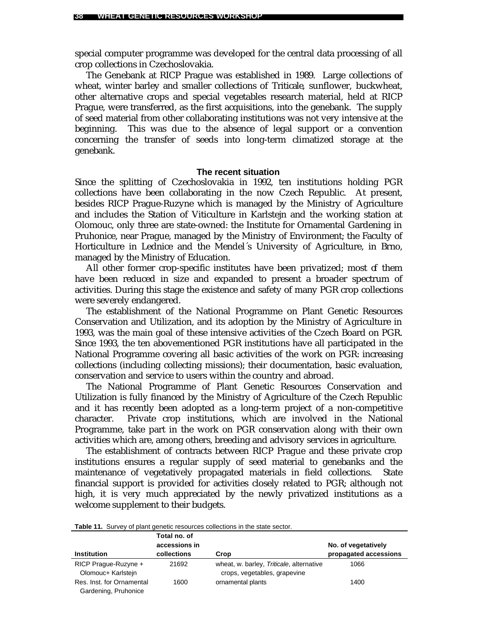special computer programme was developed for the central data processing of all crop collections in Czechoslovakia.

The Genebank at RICP Prague was established in 1989. Large collections of wheat, winter barley and smaller collections of *Triticale*, sunflower, buckwheat, other alternative crops and special vegetables research material, held at RICP Prague, were transferred, as the first acquisitions, into the genebank. The supply of seed material from other collaborating institutions was not very intensive at the beginning. This was due to the absence of legal support or a convention concerning the transfer of seeds into long-term climatized storage at the genebank.

#### **The recent situation**

Since the splitting of Czechoslovakia in 1992, ten institutions holding PGR collections have been collaborating in the now Czech Republic. At present, besides RICP Prague-Ruzyne which is managed by the Ministry of Agriculture and includes the Station of Viticulture in Karlstejn and the working station at Olomouc, only three are state-owned: the Institute for Ornamental Gardening in Pruhonice, near Prague, managed by the Ministry of Environment; the Faculty of Horticulture in Lednice and the Mendel´s University of Agriculture, in Brno, managed by the Ministry of Education.

All other former crop-specific institutes have been privatized; most  $f$  them have been reduced in size and expanded to present a broader spectrum of activities. During this stage the existence and safety of many PGR crop collections were severely endangered.

The establishment of the National Programme on Plant Genetic Resources Conservation and Utilization, and its adoption by the Ministry of Agriculture in 1993, was the main goal of these intensive activities of the Czech Board on PGR. Since 1993, the ten abovementioned PGR institutions have all participated in the National Programme covering all basic activities of the work on PGR: increasing collections (including collecting missions); their documentation, basic evaluation, conservation and service to users within the country and abroad.

The National Programme of Plant Genetic Resources Conservation and Utilization is fully financed by the Ministry of Agriculture of the Czech Republic and it has recently been adopted as a long-term project of a non-competitive character. Private crop institutions, which are involved in the National Programme, take part in the work on PGR conservation along with their own activities which are, among others, breeding and advisory services in agriculture.

The establishment of contracts between RICP Prague and these private crop institutions ensures a regular supply of seed material to genebanks and the maintenance of vegetatively propagated materials in field collections. State financial support is provided for activities closely related to PGR; although not high, it is very much appreciated by the newly privatized institutions as a welcome supplement to their budgets.

| <b>Institution</b>        | Total no. of<br>accessions in<br>collections | Crop                                     | No. of vegetatively<br>propagated accessions |
|---------------------------|----------------------------------------------|------------------------------------------|----------------------------------------------|
| RICP Prague-Ruzyne +      | 21692                                        | wheat, w. barley, Triticale, alternative | 1066                                         |
| Olomouc+ Karlstein        |                                              | crops, vegetables, grapevine             |                                              |
| Res. Inst. for Ornamental | 1600                                         | ornamental plants                        | 1400                                         |
| Gardening, Pruhonice      |                                              |                                          |                                              |

**Table 11.** Survey of plant genetic resources collections in the state sector.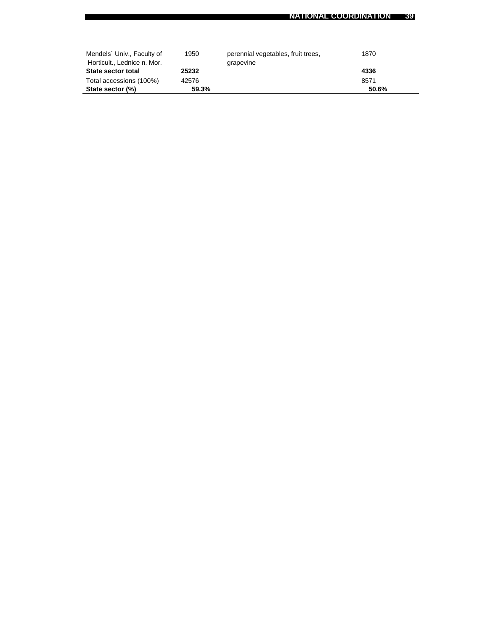| Mendels' Univ., Faculty of  | 1950  | perennial vegetables, fruit trees, | 1870  |
|-----------------------------|-------|------------------------------------|-------|
| Horticult., Lednice n. Mor. |       | grapevine                          |       |
| State sector total          | 25232 |                                    | 4336  |
| Total accessions (100%)     | 42576 |                                    | 8571  |
| State sector (%)            | 59.3% |                                    | 50.6% |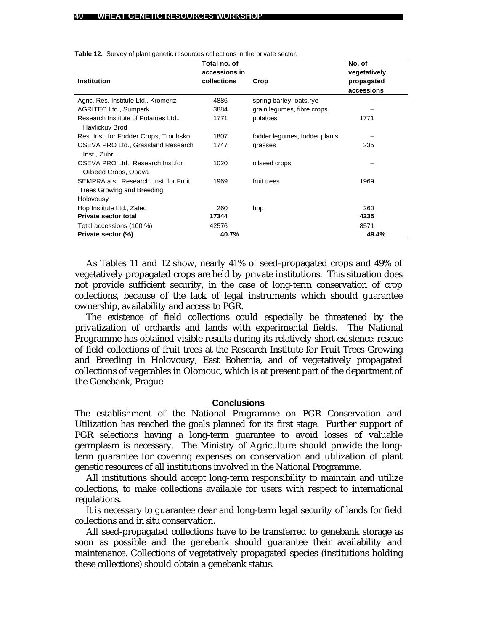|                                                           | Total no. of                 |                               | No. of                     |
|-----------------------------------------------------------|------------------------------|-------------------------------|----------------------------|
| <b>Institution</b>                                        | accessions in<br>collections | Crop                          | vegetatively<br>propagated |
|                                                           |                              |                               | accessions                 |
| Agric. Res. Institute Ltd., Kromeriz                      | 4886                         | spring barley, oats, rye      |                            |
| <b>AGRITEC Ltd., Sumperk</b>                              | 3884                         | grain legumes, fibre crops    |                            |
| Research Institute of Potatoes Ltd.,<br>Havlickuv Brod    | 1771                         | potatoes                      | 1771                       |
| Res. Inst. for Fodder Crops, Troubsko                     | 1807                         | fodder legumes, fodder plants |                            |
| OSEVA PRO Ltd., Grassland Research<br>Inst., Zubri        | 1747                         | grasses                       | 235                        |
| OSEVA PRO Ltd., Research Inst.for<br>Oilseed Crops, Opava | 1020                         | oilseed crops                 |                            |
| SEMPRA a.s., Research. Inst. for Fruit                    | 1969                         | fruit trees                   | 1969                       |
| Trees Growing and Breeding,                               |                              |                               |                            |
| Holovousy                                                 |                              |                               |                            |
| Hop Institute Ltd., Zatec                                 | 260                          | hop                           | 260                        |
| <b>Private sector total</b>                               | 17344                        |                               | 4235                       |
| Total accessions (100 %)                                  | 42576                        |                               | 8571                       |
| Private sector (%)                                        | 40.7%                        |                               | 49.4%                      |

**Table 12.** Survey of plant genetic resources collections in the private sector.

As Tables 11 and 12 show, nearly 41% of seed-propagated crops and 49% of vegetatively propagated crops are held by private institutions. This situation does not provide sufficient security, in the case of long-term conservation of crop collections, because of the lack of legal instruments which should guarantee ownership, availability and access to PGR.

The existence of field collections could especially be threatened by the privatization of orchards and lands with experimental fields. The National Programme has obtained visible results during its relatively short existence: rescue of field collections of fruit trees at the Research Institute for Fruit Trees Growing and Breeding in Holovousy, East Bohemia, and of vegetatively propagated collections of vegetables in Olomouc, which is at present part of the department of the Genebank, Prague.

#### **Conclusions**

The establishment of the National Programme on PGR Conservation and Utilization has reached the goals planned for its first stage. Further support of PGR selections having a long-term guarantee to avoid losses of valuable germplasm is necessary. The Ministry of Agriculture should provide the longterm guarantee for covering expenses on conservation and utilization of plant genetic resources of all institutions involved in the National Programme.

All institutions should accept long-term responsibility to maintain and utilize collections, to make collections available for users with respect to international regulations.

It is necessary to guarantee clear and long-term legal security of lands for field collections and *in situ* conservation.

All seed-propagated collections have to be transferred to genebank storage as soon as possible and the genebank should guarantee their availability and maintenance. Collections of vegetatively propagated species (institutions holding these collections) should obtain a genebank status.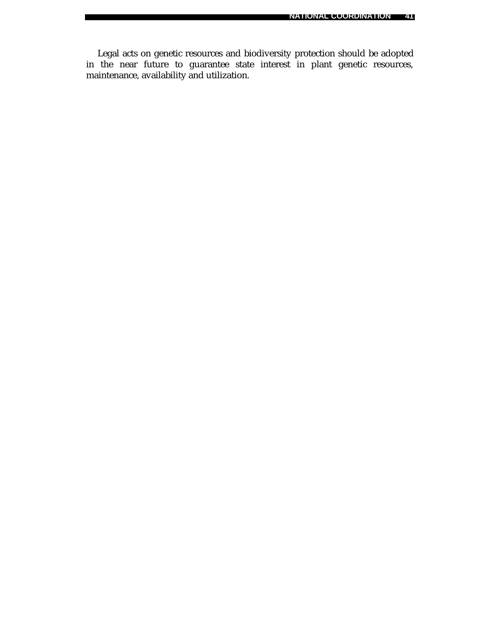Legal acts on genetic resources and biodiversity protection should be adopted in the near future to guarantee state interest in plant genetic resources, maintenance, availability and utilization.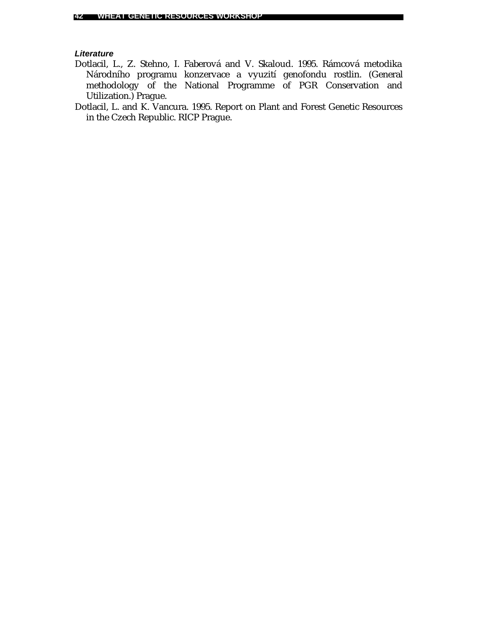### *Literature*

- Dotlacil, L., Z. Stehno, I. Faberová and V. Skaloud. 1995. Rámcová metodika Národního programu konzervace a vyuzití genofondu rostlin. (General methodology of the National Programme of PGR Conservation and Utilization.) Prague.
- Dotlacil, L. and K. Vancura. 1995. Report on Plant and Forest Genetic Resources in the Czech Republic. RICP Prague.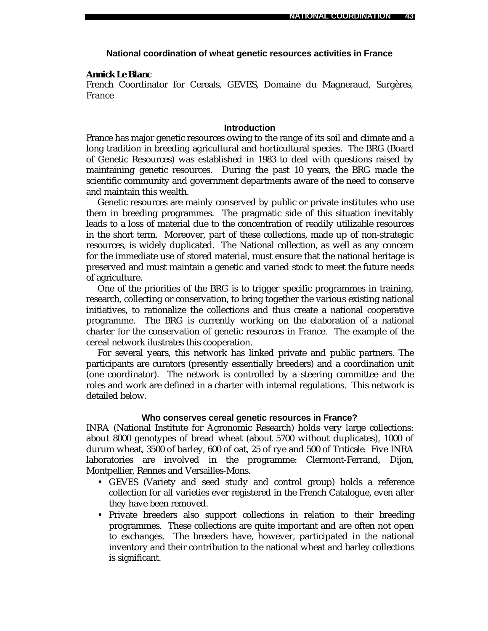#### **National coordination of wheat genetic resources activities in France**

#### *Annick Le Blanc*

French Coordinator for Cereals, GEVES, Domaine du Magneraud, Surgères, France

### **Introduction**

France has major genetic resources owing to the range of its soil and climate and a long tradition in breeding agricultural and horticultural species. The BRG (Board of Genetic Resources) was established in 1983 to deal with questions raised by maintaining genetic resources. During the past 10 years, the BRG made the scientific community and government departments aware of the need to conserve and maintain this wealth.

Genetic resources are mainly conserved by public or private institutes who use them in breeding programmes. The pragmatic side of this situation inevitably leads to a loss of material due to the concentration of readily utilizable resources in the short term. Moreover, part of these collections, made up of non-strategic resources, is widely duplicated. The National collection, as well as any concern for the immediate use of stored material, must ensure that the national heritage is preserved and must maintain a genetic and varied stock to meet the future needs of agriculture.

One of the priorities of the BRG is to trigger specific programmes in training, research, collecting or conservation, to bring together the various existing national initiatives, to rationalize the collections and thus create a national cooperative programme. The BRG is currently working on the elaboration of a national charter for the conservation of genetic resources in France. The example of the cereal network ilustrates this cooperation.

For several years, this network has linked private and public partners. The participants are curators (presently essentially breeders) and a coordination unit (one coordinator). The network is controlled by a steering committee and the roles and work are defined in a charter with internal regulations. This network is detailed below.

### **Who conserves cereal genetic resources in France?**

INRA (National Institute for Agronomic Research) holds very large collections: about 8000 genotypes of bread wheat (about 5700 without duplicates), 1000 of durum wheat, 3500 of barley, 600 of oat, 25 of rye and 500 of *Triticale*. Five INRA laboratories are involved in the programme: Clermont-Ferrand, Dijon, Montpellier, Rennes and Versailles-Mons.

- GEVES (Variety and seed study and control group) holds a reference collection for all varieties ever registered in the French Catalogue, even after they have been removed.
- Private breeders also support collections in relation to their breeding programmes. These collections are quite important and are often not open to exchanges. The breeders have, however, participated in the national inventory and their contribution to the national wheat and barley collections is significant.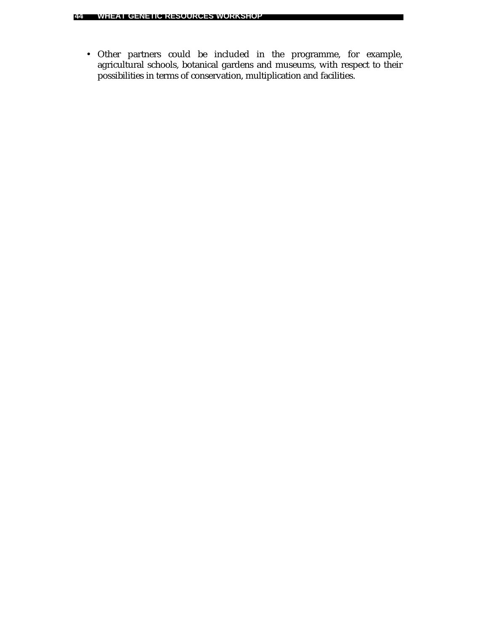• Other partners could be included in the programme, for example, agricultural schools, botanical gardens and museums, with respect to their possibilities in terms of conservation, multiplication and facilities.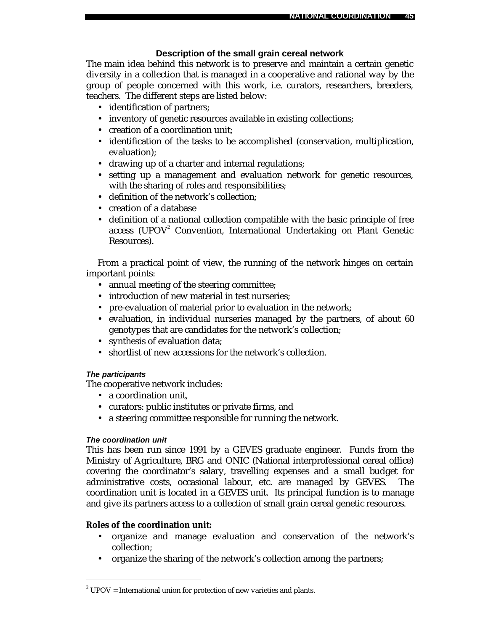### **Description of the small grain cereal network**

The main idea behind this network is to preserve and maintain a certain genetic diversity in a collection that is managed in a cooperative and rational way by the group of people concerned with this work, i.e. curators, researchers, breeders, teachers. The different steps are listed below:

- identification of partners;
- inventory of genetic resources available in existing collections;
- creation of a coordination unit;
- identification of the tasks to be accomplished (conservation, multiplication, evaluation);
- drawing up of a charter and internal regulations;
- setting up a management and evaluation network for genetic resources, with the sharing of roles and responsibilities;
- definition of the network's collection;
- creation of a database
- definition of a national collection compatible with the basic principle of free access (UPOV<sup>2</sup> Convention, International Undertaking on Plant Genetic Resources).

From a practical point of view, the running of the network hinges on certain important points:

- annual meeting of the steering committee;
- introduction of new material in test nurseries;
- pre-evaluation of material prior to evaluation in the network;
- evaluation, in individual nurseries managed by the partners, of about 60 genotypes that are candidates for the network's collection;
- synthesis of evaluation data;
- shortlist of new accessions for the network's collection.

### *The participants*

The cooperative network includes:

- a coordination unit,
- curators: public institutes or private firms, and
- a steering committee responsible for running the network.

### *The coordination unit*

 $\overline{a}$ 

This has been run since 1991 by a GEVES graduate engineer. Funds from the Ministry of Agriculture, BRG and ONIC (National interprofessional cereal office) covering the coordinator's salary, travelling expenses and a small budget for administrative costs, occasional labour, etc. are managed by GEVES. The coordination unit is located in a GEVES unit. Its principal function is to manage and give its partners access to a collection of small grain cereal genetic resources.

### **Roles of the coordination unit:**

- organize and manage evaluation and conservation of the network's collection;
- organize the sharing of the network's collection among the partners;

 $2^2$  UPOV = International union for protection of new varieties and plants.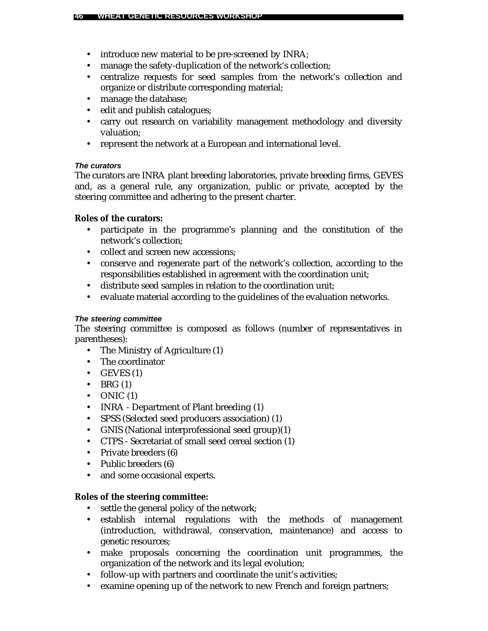- introduce new material to be pre-screened by INRA;
- manage the safety-duplication of the network's collection;
- centralize requests for seed samples from the network's collection and organize or distribute corresponding material;
- manage the database;
- edit and publish catalogues;
- carry out research on variability management methodology and diversity valuation;
- represent the network at a European and international level.

### *The curators*

The curators are INRA plant breeding laboratories, private breeding firms, GEVES and, as a general rule, any organization, public or private, accepted by the steering committee and adhering to the present charter.

### **Roles of the curators:**

- participate in the programme's planning and the constitution of the network's collection;
- collect and screen new accessions:
- conserve and regenerate part of the network's collection, according to the responsibilities established in agreement with the coordination unit;
- distribute seed samples in relation to the coordination unit;
- evaluate material according to the guidelines of the evaluation networks.

### *The steering committee*

The steering committee is composed as follows (number of representatives in parentheses):

- The Ministry of Agriculture (1)
- The coordinator
- $\bullet$  GEVES (1)
- $\bullet$  BRG  $(1)$
- $\bullet$  ONIC (1)
- INRA Department of Plant breeding (1)
- SPSS (Selected seed producers association) (1)
- GNIS (National interprofessional seed group)(1)
- CTPS Secretariat of small seed cereal section (1)
- Private breeders (6)
- Public breeders (6)
- and some occasional experts.

### **Roles of the steering committee:**

- settle the general policy of the network;
- establish internal regulations with the methods of management (introduction, withdrawal, conservation, maintenance) and access to genetic resources;
- make proposals concerning the coordination unit programmes, the organization of the network and its legal evolution;
- follow-up with partners and coordinate the unit's activities;
- examine opening up of the network to new French and foreign partners;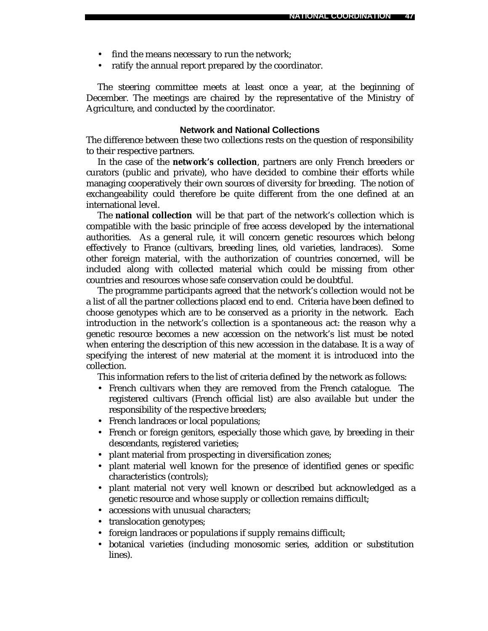- find the means necessary to run the network;
- ratify the annual report prepared by the coordinator.

The steering committee meets at least once a year, at the beginning of December. The meetings are chaired by the representative of the Ministry of Agriculture, and conducted by the coordinator.

#### **Network and National Collections**

The difference between these two collections rests on the question of responsibility to their respective partners.

In the case of the **network's collection**, partners are only French breeders or curators (public and private), who have decided to combine their efforts while managing cooperatively their own sources of diversity for breeding. The notion of exchangeability could therefore be quite different from the one defined at an international level.

The **national collection** will be that part of the network's collection which is compatible with the basic principle of free access developed by the international authorities. As a general rule, it will concern genetic resources which belong effectively to France (cultivars, breeding lines, old varieties, landraces). Some other foreign material, with the authorization of countries concerned, will be included along with collected material which could be missing from other countries and resources whose safe conservation could be doubtful.

The programme participants agreed that the network's collection would not be a list of all the partner collections placed end to end. Criteria have been defined to choose genotypes which are to be conserved as a priority in the network. Each introduction in the network's collection is a spontaneous act: the reason why a genetic resource becomes a new accession on the network's list must be noted when entering the description of this new accession in the database. It is a way of specifying the interest of new material at the moment it is introduced into the collection.

This information refers to the list of criteria defined by the network as follows:

- French cultivars when they are removed from the French catalogue. The registered cultivars (French official list) are also available but under the responsibility of the respective breeders;
- French landraces or local populations;
- French or foreign genitors, especially those which gave, by breeding in their descendants, registered varieties;
- plant material from prospecting in diversification zones;
- plant material well known for the presence of identified genes or specific characteristics (controls);
- plant material not very well known or described but acknowledged as a genetic resource and whose supply or collection remains difficult;
- accessions with unusual characters;
- translocation genotypes;
- foreign landraces or populations if supply remains difficult;
- botanical varieties (including monosomic series, addition or substitution lines).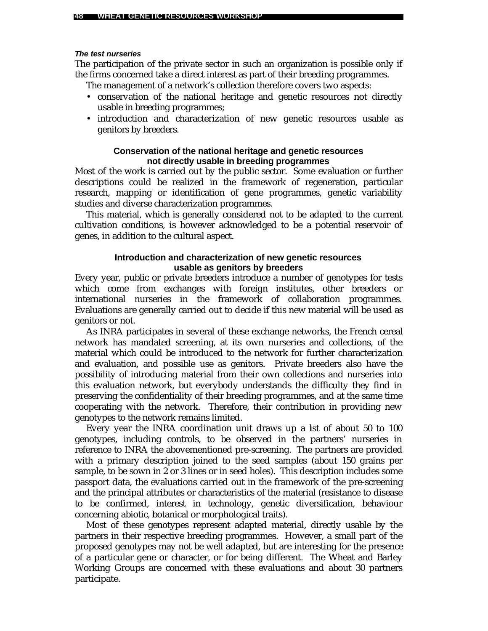#### *The test nurseries*

The participation of the private sector in such an organization is possible only if the firms concerned take a direct interest as part of their breeding programmes.

The management of a network's collection therefore covers two aspects:

- conservation of the national heritage and genetic resources not directly usable in breeding programmes;
- introduction and characterization of new genetic resources usable as genitors by breeders.

### **Conservation of the national heritage and genetic resources not directly usable in breeding programmes**

Most of the work is carried out by the public sector. Some evaluation or further descriptions could be realized in the framework of regeneration, particular research, mapping or identification of gene programmes, genetic variability studies and diverse characterization programmes.

This material, which is generally considered not to be adapted to the current cultivation conditions, is however acknowledged to be a potential reservoir of genes, in addition to the cultural aspect.

### **Introduction and characterization of new genetic resources usable as genitors by breeders**

Every year, public or private breeders introduce a number of genotypes for tests which come from exchanges with foreign institutes, other breeders or international nurseries in the framework of collaboration programmes. Evaluations are generally carried out to decide if this new material will be used as genitors or not.

As INRA participates in several of these exchange networks, the French cereal network has mandated screening, at its own nurseries and collections, of the material which could be introduced to the network for further characterization and evaluation, and possible use as genitors. Private breeders also have the possibility of introducing material from their own collections and nurseries into this evaluation network, but everybody understands the difficulty they find in preserving the confidentiality of their breeding programmes, and at the same time cooperating with the network. Therefore, their contribution in providing new genotypes to the network remains limited.

Every year the INRA coordination unit draws up a list of about 50 to 100 genotypes, including controls, to be observed in the partners' nurseries in reference to INRA the abovementioned pre-screening. The partners are provided with a primary description joined to the seed samples (about 150 grains per sample, to be sown in 2 or 3 lines or in seed holes). This description includes some passport data, the evaluations carried out in the framework of the pre-screening and the principal attributes or characteristics of the material (resistance to disease to be confirmed, interest in technology, genetic diversification, behaviour concerning abiotic, botanical or morphological traits).

Most of these genotypes represent adapted material, directly usable by the partners in their respective breeding programmes. However, a small part of the proposed genotypes may not be well adapted, but are interesting for the presence of a particular gene or character, or for being different. The Wheat and Barley Working Groups are concerned with these evaluations and about 30 partners participate.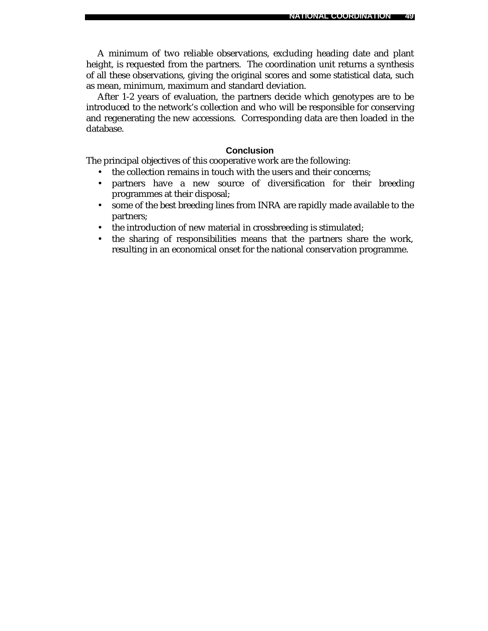**NATIONAL COORDINATION 49**

A minimum of two reliable observations, excluding heading date and plant height, is requested from the partners. The coordination unit returns a synthesis of all these observations, giving the original scores and some statistical data, such as mean, minimum, maximum and standard deviation.

After 1-2 years of evaluation, the partners decide which genotypes are to be introduced to the network's collection and who will be responsible for conserving and regenerating the new accessions. Corresponding data are then loaded in the database.

### **Conclusion**

The principal objectives of this cooperative work are the following:

- the collection remains in touch with the users and their concerns:
- partners have a new source of diversification for their breeding programmes at their disposal;
- some of the best breeding lines from INRA are rapidly made available to the partners;
- the introduction of new material in crossbreeding is stimulated;
- the sharing of responsibilities means that the partners share the work, resulting in an economical onset for the national conservation programme.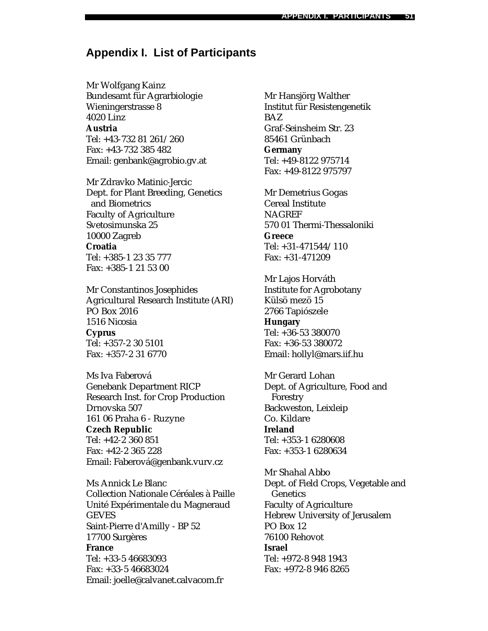## **Appendix I. List of Participants**

Mr Wolfgang Kainz Bundesamt für Agrarbiologie Wieningerstrasse 8 4020 Linz **Austria** Tel: +43-732 81 261/260 Fax: +43-732 385 482 Email: genbank@agrobio.gv.at

Mr Zdravko Matinic-Jercic Dept. for Plant Breeding, Genetics and Biometrics Faculty of Agriculture Svetosimunska 25 10000 Zagreb **Croatia** Tel: +385-1 23 35 777 Fax: +385-1 21 53 00

Mr Constantinos Josephides Agricultural Research Institute (ARI) PO Box 2016 1516 Nicosia **Cyprus** Tel: +357-2 30 5101 Fax: +357-2 31 6770

Ms Iva Faberová Genebank Department RICP Research Inst. for Crop Production Drnovska 507 161 06 Praha 6 - Ruzyne **Czech Republic** Tel: +42-2 360 851 Fax: +42-2 365 228 Email: Faberová@genbank.vurv.cz

Ms Annick Le Blanc Collection Nationale Céréales à Paille Unité Expérimentale du Magneraud GEVES Saint-Pierre d'Amilly - BP 52 17700 Surgères **France** Tel: +33-5 46683093 Fax: +33-5 46683024 Email: joelle@calvanet.calvacom.fr

Mr Hansjörg Walther Institut für Resistengenetik BAZ Graf-Seinsheim Str. 23 85461 Grünbach **Germany** Tel: +49-8122 975714 Fax: +49-8122 975797

Mr Demetrius Gogas Cereal Institute **NAGREF** 570 01 Thermi-Thessaloniki **Greece** Tel: +31-471544/110 Fax: +31-471209

Mr Lajos Horváth Institute for Agrobotany Külsö mezö 15 2766 Tapiószele **Hungary** Tel: +36-53 380070 Fax: +36-53 380072 Email: hollyl@mars.iif.hu

Mr Gerard Lohan Dept. of Agriculture, Food and Forestry Backweston, Leixleip Co. Kildare **Ireland** Tel: +353-1 6280608 Fax: +353-1 6280634

Mr Shahal Abbo Dept. of Field Crops, Vegetable and Genetics Faculty of Agriculture Hebrew University of Jerusalem PO Box 12 76100 Rehovot **Israel** Tel: +972-8 948 1943 Fax: +972-8 946 8265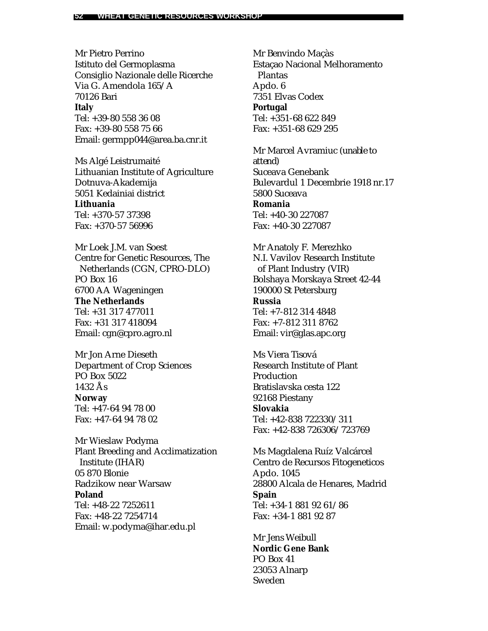Mr Pietro Perrino Istituto del Germoplasma Consiglio Nazionale delle Ricerche Via G. Amendola 165/A 70126 Bari **Italy** Tel: +39-80 558 36 08 Fax: +39-80 558 75 66 Email: germpp044@area.ba.cnr.it

Ms Algé Leistrumaité Lithuanian Institute of Agriculture Dotnuva-Akademija 5051 Kedainiai district **Lithuania** Tel: +370-57 37398 Fax: +370-57 56996

Mr Loek J.M. van Soest Centre for Genetic Resources, The Netherlands (CGN, CPRO-DLO) PO Box 16 6700 AA Wageningen **The Netherlands** Tel: +31 317 477011 Fax: +31 317 418094 Email: cgn@cpro.agro.nl

Mr Jon Arne Dieseth Department of Crop Sciences PO Box 5022 1432 Ås **Norway** Tel: +47-64 94 78 00 Fax: +47-64 94 78 02

Mr Wieslaw Podyma Plant Breeding and Acclimatization Institute (IHAR) 05 870 Blonie Radzikow near Warsaw **Poland** Tel: +48-22 7252611 Fax: +48-22 7254714 Email: w.podyma@ihar.edu.pl

Mr Benvindo Maçàs Estaçao Nacional Melhoramento Plantas Apdo. 6 7351 Elvas Codex **Portugal** Tel: +351-68 622 849 Fax: +351-68 629 295

Mr Marcel Avramiuc *(unable to attend)* Suceava Genebank Bulevardul 1 Decembrie 1918 nr.17 5800 Suceava **Romania** Tel: +40-30 227087 Fax: +40-30 227087

Mr Anatoly F. Merezhko N.I. Vavilov Research Institute of Plant Industry (VIR) Bolshaya Morskaya Street 42-44 190000 St Petersburg **Russia** Tel: +7-812 314 4848 Fax: +7-812 311 8762 Email: vir@glas.apc.org

Ms Viera Tisová Research Institute of Plant Production Bratislavska cesta 122 92168 Piestany **Slovakia** Tel: +42-838 722330/311 Fax: +42-838 726306/723769

Ms Magdalena Ruíz Valcárcel Centro de Recursos Fitogeneticos Apdo. 1045 28800 Alcala de Henares, Madrid **Spain** Tel: +34-1 881 92 61/86 Fax: +34-1 881 92 87

Mr Jens Weibull **Nordic Gene Bank** PO Box 41 23053 Alnarp Sweden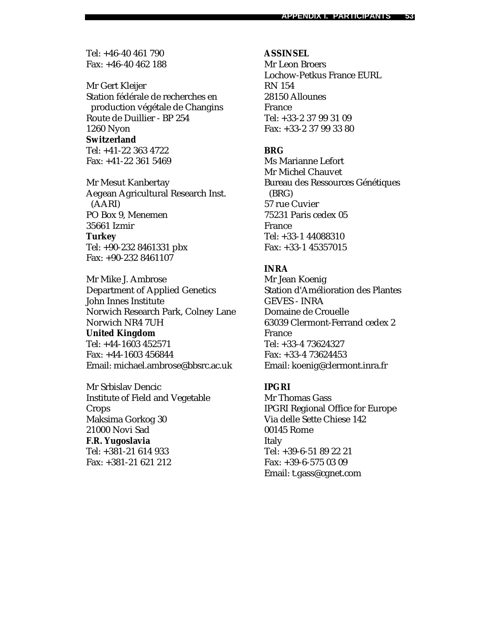Tel: +46-40 461 790 Fax: +46-40 462 188

Mr Gert Kleijer Station fédérale de recherches en production végétale de Changins Route de Duillier - BP 254 1260 Nyon **Switzerland** Tel: +41-22 363 4722

Fax: +41-22 361 5469

Mr Mesut Kanbertay Aegean Agricultural Research Inst. (AARI) PO Box 9, Menemen 35661 Izmir **Turkey** Tel: +90-232 8461331 pbx Fax: +90-232 8461107

Mr Mike J. Ambrose Department of Applied Genetics John Innes Institute Norwich Research Park, Colney Lane Norwich NR4 7UH **United Kingdom** Tel: +44-1603 452571 Fax: +44-1603 456844 Email: michael.ambrose@bbsrc.ac.uk

Mr Srbislav Dencic Institute of Field and Vegetable Crops Maksima Gorkog 30 21000 Novi Sad **F.R. Yugoslavia** Tel: +381-21 614 933 Fax: +381-21 621 212

#### **ASSINSEL**

Mr Leon Broers Lochow-Petkus France EURL RN 154 28150 Allounes France Tel: +33-2 37 99 31 09 Fax: +33-2 37 99 33 80

### **BRG**

Ms Marianne Lefort Mr Michel Chauvet Bureau des Ressources Génétiques (BRG) 57 rue Cuvier 75231 Paris cedex 05 France Tel: +33-1 44088310 Fax: +33-1 45357015

### **INRA**

Mr Jean Koenig Station d'Amélioration des Plantes GEVES - INRA Domaine de Crouelle 63039 Clermont-Ferrand cedex 2 France Tel: +33-4 73624327 Fax: +33-4 73624453 Email: koenig@clermont.inra.fr

### **IPGRI**

Mr Thomas Gass IPGRI Regional Office for Europe Via delle Sette Chiese 142 00145 Rome Italy Tel: +39-6-51 89 22 21 Fax: +39-6-575 03 09 Email: t.gass@cgnet.com